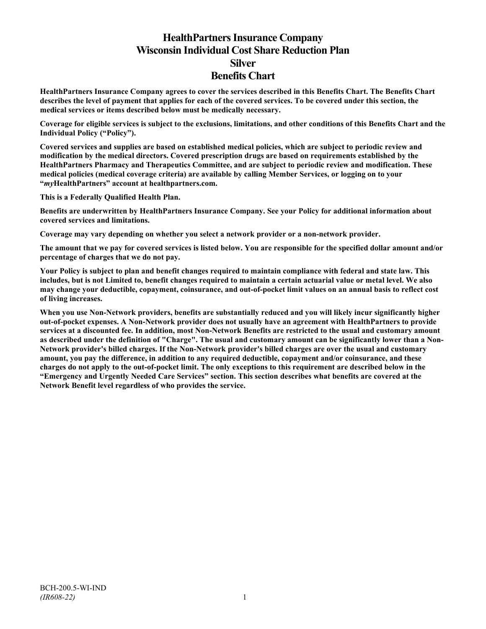# **HealthPartners Insurance Company Wisconsin Individual Cost Share Reduction Plan Silver Benefits Chart**

**HealthPartners Insurance Company agrees to cover the services described in this Benefits Chart. The Benefits Chart describes the level of payment that applies for each of the covered services. To be covered under this section, the medical services or items described below must be medically necessary.**

**Coverage for eligible services is subject to the exclusions, limitations, and other conditions of this Benefits Chart and the Individual Policy ("Policy").**

**Covered services and supplies are based on established medical policies, which are subject to periodic review and modification by the medical directors. Covered prescription drugs are based on requirements established by the HealthPartners Pharmacy and Therapeutics Committee, and are subject to periodic review and modification. These medical policies (medical coverage criteria) are available by calling Member Services, or logging on to your "***my***HealthPartners" account at [healthpartners.com.](http://www.healthpartners.com/)**

**This is a Federally Qualified Health Plan.**

**Benefits are underwritten by HealthPartners Insurance Company. See your Policy for additional information about covered services and limitations.**

**Coverage may vary depending on whether you select a network provider or a non-network provider.**

**The amount that we pay for covered services is listed below. You are responsible for the specified dollar amount and/or percentage of charges that we do not pay.**

**Your Policy is subject to plan and benefit changes required to maintain compliance with federal and state law. This includes, but is not Limited to, benefit changes required to maintain a certain actuarial value or metal level. We also may change your deductible, copayment, coinsurance, and out-of-pocket limit values on an annual basis to reflect cost of living increases.**

**When you use Non-Network providers, benefits are substantially reduced and you will likely incur significantly higher out-of-pocket expenses. A Non-Network provider does not usually have an agreement with HealthPartners to provide services at a discounted fee. In addition, most Non-Network Benefits are restricted to the usual and customary amount as described under the definition of "Charge". The usual and customary amount can be significantly lower than a Non-Network provider's billed charges. If the Non-Network provider's billed charges are over the usual and customary amount, you pay the difference, in addition to any required deductible, copayment and/or coinsurance, and these charges do not apply to the out-of-pocket limit. The only exceptions to this requirement are described below in the "Emergency and Urgently Needed Care Services" section. This section describes what benefits are covered at the Network Benefit level regardless of who provides the service.**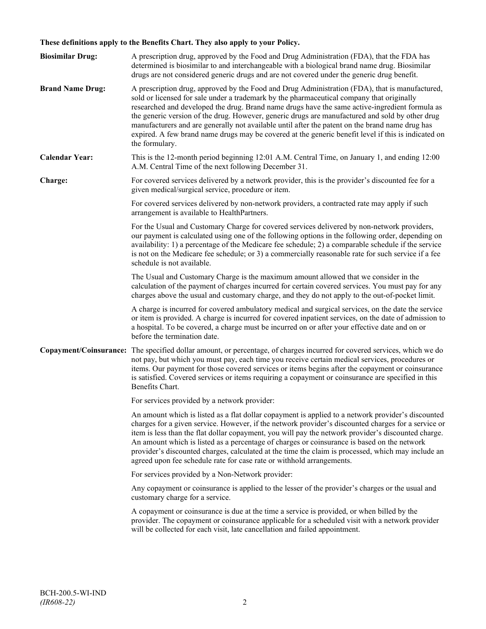## **These definitions apply to the Benefits Chart. They also apply to your Policy.**

| <b>Biosimilar Drug:</b> | A prescription drug, approved by the Food and Drug Administration (FDA), that the FDA has<br>determined is biosimilar to and interchangeable with a biological brand name drug. Biosimilar<br>drugs are not considered generic drugs and are not covered under the generic drug benefit.                                                                                                                                                                                                                                                                                                                                     |
|-------------------------|------------------------------------------------------------------------------------------------------------------------------------------------------------------------------------------------------------------------------------------------------------------------------------------------------------------------------------------------------------------------------------------------------------------------------------------------------------------------------------------------------------------------------------------------------------------------------------------------------------------------------|
| <b>Brand Name Drug:</b> | A prescription drug, approved by the Food and Drug Administration (FDA), that is manufactured,<br>sold or licensed for sale under a trademark by the pharmaceutical company that originally<br>researched and developed the drug. Brand name drugs have the same active-ingredient formula as<br>the generic version of the drug. However, generic drugs are manufactured and sold by other drug<br>manufacturers and are generally not available until after the patent on the brand name drug has<br>expired. A few brand name drugs may be covered at the generic benefit level if this is indicated on<br>the formulary. |
| <b>Calendar Year:</b>   | This is the 12-month period beginning 12:01 A.M. Central Time, on January 1, and ending 12:00<br>A.M. Central Time of the next following December 31.                                                                                                                                                                                                                                                                                                                                                                                                                                                                        |
| Charge:                 | For covered services delivered by a network provider, this is the provider's discounted fee for a<br>given medical/surgical service, procedure or item.                                                                                                                                                                                                                                                                                                                                                                                                                                                                      |
|                         | For covered services delivered by non-network providers, a contracted rate may apply if such<br>arrangement is available to HealthPartners.                                                                                                                                                                                                                                                                                                                                                                                                                                                                                  |
|                         | For the Usual and Customary Charge for covered services delivered by non-network providers,<br>our payment is calculated using one of the following options in the following order, depending on<br>availability: 1) a percentage of the Medicare fee schedule; 2) a comparable schedule if the service<br>is not on the Medicare fee schedule; or 3) a commercially reasonable rate for such service if a fee<br>schedule is not available.                                                                                                                                                                                 |
|                         | The Usual and Customary Charge is the maximum amount allowed that we consider in the<br>calculation of the payment of charges incurred for certain covered services. You must pay for any<br>charges above the usual and customary charge, and they do not apply to the out-of-pocket limit.                                                                                                                                                                                                                                                                                                                                 |
|                         | A charge is incurred for covered ambulatory medical and surgical services, on the date the service<br>or item is provided. A charge is incurred for covered inpatient services, on the date of admission to<br>a hospital. To be covered, a charge must be incurred on or after your effective date and on or<br>before the termination date.                                                                                                                                                                                                                                                                                |
|                         | Copayment/Coinsurance: The specified dollar amount, or percentage, of charges incurred for covered services, which we do<br>not pay, but which you must pay, each time you receive certain medical services, procedures or<br>items. Our payment for those covered services or items begins after the copayment or coinsurance<br>is satisfied. Covered services or items requiring a copayment or coinsurance are specified in this<br>Benefits Chart.                                                                                                                                                                      |
|                         | For services provided by a network provider:                                                                                                                                                                                                                                                                                                                                                                                                                                                                                                                                                                                 |
|                         | An amount which is listed as a flat dollar copayment is applied to a network provider's discounted<br>charges for a given service. However, if the network provider's discounted charges for a service or<br>item is less than the flat dollar copayment, you will pay the network provider's discounted charge.<br>An amount which is listed as a percentage of charges or coinsurance is based on the network<br>provider's discounted charges, calculated at the time the claim is processed, which may include an<br>agreed upon fee schedule rate for case rate or withhold arrangements.                               |
|                         | For services provided by a Non-Network provider:                                                                                                                                                                                                                                                                                                                                                                                                                                                                                                                                                                             |
|                         | Any copayment or coinsurance is applied to the lesser of the provider's charges or the usual and<br>customary charge for a service.                                                                                                                                                                                                                                                                                                                                                                                                                                                                                          |
|                         | A copayment or coinsurance is due at the time a service is provided, or when billed by the<br>provider. The copayment or coinsurance applicable for a scheduled visit with a network provider<br>will be collected for each visit, late cancellation and failed appointment.                                                                                                                                                                                                                                                                                                                                                 |
|                         |                                                                                                                                                                                                                                                                                                                                                                                                                                                                                                                                                                                                                              |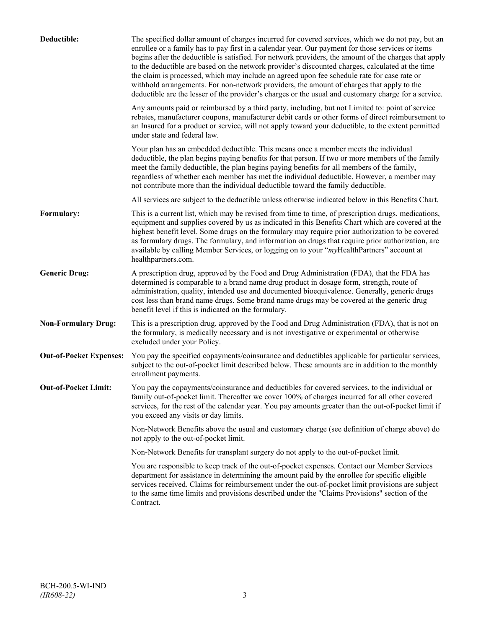| Deductible:                    | The specified dollar amount of charges incurred for covered services, which we do not pay, but an<br>enrollee or a family has to pay first in a calendar year. Our payment for those services or items<br>begins after the deductible is satisfied. For network providers, the amount of the charges that apply<br>to the deductible are based on the network provider's discounted charges, calculated at the time<br>the claim is processed, which may include an agreed upon fee schedule rate for case rate or<br>withhold arrangements. For non-network providers, the amount of charges that apply to the<br>deductible are the lesser of the provider's charges or the usual and customary charge for a service. |
|--------------------------------|-------------------------------------------------------------------------------------------------------------------------------------------------------------------------------------------------------------------------------------------------------------------------------------------------------------------------------------------------------------------------------------------------------------------------------------------------------------------------------------------------------------------------------------------------------------------------------------------------------------------------------------------------------------------------------------------------------------------------|
|                                | Any amounts paid or reimbursed by a third party, including, but not Limited to: point of service<br>rebates, manufacturer coupons, manufacturer debit cards or other forms of direct reimbursement to<br>an Insured for a product or service, will not apply toward your deductible, to the extent permitted<br>under state and federal law.                                                                                                                                                                                                                                                                                                                                                                            |
|                                | Your plan has an embedded deductible. This means once a member meets the individual<br>deductible, the plan begins paying benefits for that person. If two or more members of the family<br>meet the family deductible, the plan begins paying benefits for all members of the family,<br>regardless of whether each member has met the individual deductible. However, a member may<br>not contribute more than the individual deductible toward the family deductible.                                                                                                                                                                                                                                                |
|                                | All services are subject to the deductible unless otherwise indicated below in this Benefits Chart.                                                                                                                                                                                                                                                                                                                                                                                                                                                                                                                                                                                                                     |
| Formulary:                     | This is a current list, which may be revised from time to time, of prescription drugs, medications,<br>equipment and supplies covered by us as indicated in this Benefits Chart which are covered at the<br>highest benefit level. Some drugs on the formulary may require prior authorization to be covered<br>as formulary drugs. The formulary, and information on drugs that require prior authorization, are<br>available by calling Member Services, or logging on to your "myHealthPartners" account at<br>healthpartners.com.                                                                                                                                                                                   |
| <b>Generic Drug:</b>           | A prescription drug, approved by the Food and Drug Administration (FDA), that the FDA has<br>determined is comparable to a brand name drug product in dosage form, strength, route of<br>administration, quality, intended use and documented bioequivalence. Generally, generic drugs<br>cost less than brand name drugs. Some brand name drugs may be covered at the generic drug<br>benefit level if this is indicated on the formulary.                                                                                                                                                                                                                                                                             |
| <b>Non-Formulary Drug:</b>     | This is a prescription drug, approved by the Food and Drug Administration (FDA), that is not on<br>the formulary, is medically necessary and is not investigative or experimental or otherwise<br>excluded under your Policy.                                                                                                                                                                                                                                                                                                                                                                                                                                                                                           |
| <b>Out-of-Pocket Expenses:</b> | You pay the specified copayments/coinsurance and deductibles applicable for particular services,<br>subject to the out-of-pocket limit described below. These amounts are in addition to the monthly<br>enrollment payments.                                                                                                                                                                                                                                                                                                                                                                                                                                                                                            |
| <b>Out-of-Pocket Limit:</b>    | You pay the copayments/coinsurance and deductibles for covered services, to the individual or<br>family out-of-pocket limit. Thereafter we cover 100% of charges incurred for all other covered<br>services, for the rest of the calendar year. You pay amounts greater than the out-of-pocket limit if<br>you exceed any visits or day limits.                                                                                                                                                                                                                                                                                                                                                                         |
|                                | Non-Network Benefits above the usual and customary charge (see definition of charge above) do<br>not apply to the out-of-pocket limit.                                                                                                                                                                                                                                                                                                                                                                                                                                                                                                                                                                                  |
|                                | Non-Network Benefits for transplant surgery do not apply to the out-of-pocket limit.                                                                                                                                                                                                                                                                                                                                                                                                                                                                                                                                                                                                                                    |
|                                | You are responsible to keep track of the out-of-pocket expenses. Contact our Member Services<br>department for assistance in determining the amount paid by the enrollee for specific eligible<br>services received. Claims for reimbursement under the out-of-pocket limit provisions are subject<br>to the same time limits and provisions described under the "Claims Provisions" section of the<br>Contract.                                                                                                                                                                                                                                                                                                        |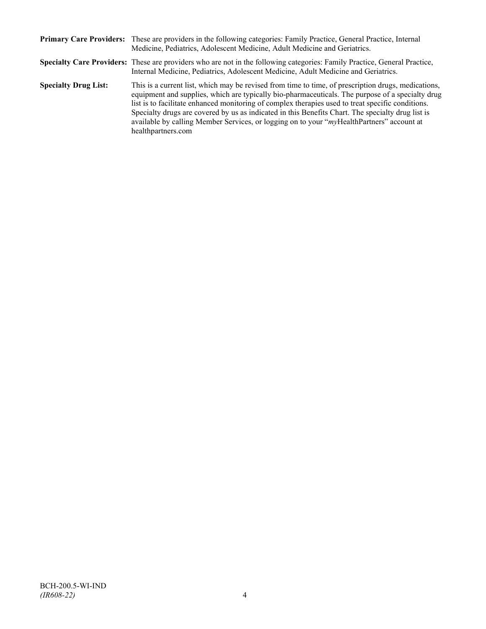|                             | Primary Care Providers: These are providers in the following categories: Family Practice, General Practice, Internal<br>Medicine, Pediatrics, Adolescent Medicine, Adult Medicine and Geriatrics.                                                                                                                                                                                                                                                                                                                                    |
|-----------------------------|--------------------------------------------------------------------------------------------------------------------------------------------------------------------------------------------------------------------------------------------------------------------------------------------------------------------------------------------------------------------------------------------------------------------------------------------------------------------------------------------------------------------------------------|
|                             | Specialty Care Providers: These are providers who are not in the following categories: Family Practice, General Practice,<br>Internal Medicine, Pediatrics, Adolescent Medicine, Adult Medicine and Geriatrics.                                                                                                                                                                                                                                                                                                                      |
| <b>Specialty Drug List:</b> | This is a current list, which may be revised from time to time, of prescription drugs, medications,<br>equipment and supplies, which are typically bio-pharmaceuticals. The purpose of a specialty drug<br>list is to facilitate enhanced monitoring of complex therapies used to treat specific conditions.<br>Specialty drugs are covered by us as indicated in this Benefits Chart. The specialty drug list is<br>available by calling Member Services, or logging on to your "myHealthPartners" account at<br>healthpartners.com |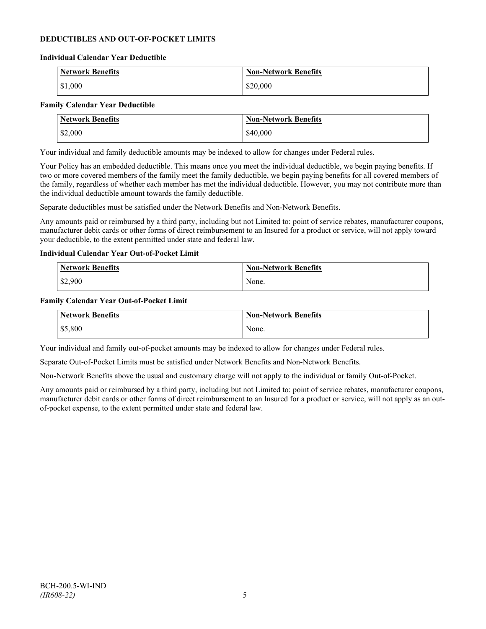## **DEDUCTIBLES AND OUT-OF-POCKET LIMITS**

#### **Individual Calendar Year Deductible**

| <b>Network Benefits</b> | <b>Non-Network Benefits</b> |
|-------------------------|-----------------------------|
| \$1,000                 | \$20,000                    |

#### **Family Calendar Year Deductible**

| <b>Network Benefits</b> | <b>Non-Network Benefits</b> |
|-------------------------|-----------------------------|
| \$2,000                 | \$40,000                    |

Your individual and family deductible amounts may be indexed to allow for changes under Federal rules.

Your Policy has an embedded deductible. This means once you meet the individual deductible, we begin paying benefits. If two or more covered members of the family meet the family deductible, we begin paying benefits for all covered members of the family, regardless of whether each member has met the individual deductible. However, you may not contribute more than the individual deductible amount towards the family deductible.

Separate deductibles must be satisfied under the Network Benefits and Non-Network Benefits.

Any amounts paid or reimbursed by a third party, including but not Limited to: point of service rebates, manufacturer coupons, manufacturer debit cards or other forms of direct reimbursement to an Insured for a product or service, will not apply toward your deductible, to the extent permitted under state and federal law.

#### **Individual Calendar Year Out-of-Pocket Limit**

| Network Benefits | <b>Non-Network Benefits</b> |
|------------------|-----------------------------|
| \$2,900          | None.                       |

#### **Family Calendar Year Out-of-Pocket Limit**

| Network Benefits | <b>Non-Network Benefits</b> |
|------------------|-----------------------------|
| \$5,800          | None.                       |

Your individual and family out-of-pocket amounts may be indexed to allow for changes under Federal rules.

Separate Out-of-Pocket Limits must be satisfied under Network Benefits and Non-Network Benefits.

Non-Network Benefits above the usual and customary charge will not apply to the individual or family Out-of-Pocket.

Any amounts paid or reimbursed by a third party, including but not Limited to: point of service rebates, manufacturer coupons, manufacturer debit cards or other forms of direct reimbursement to an Insured for a product or service, will not apply as an outof-pocket expense, to the extent permitted under state and federal law.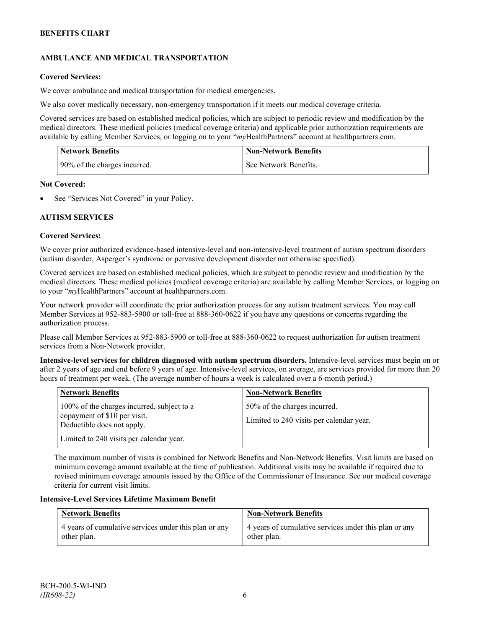## **AMBULANCE AND MEDICAL TRANSPORTATION**

## **Covered Services:**

We cover ambulance and medical transportation for medical emergencies.

We also cover medically necessary, non-emergency transportation if it meets our medical coverage criteria.

Covered services are based on established medical policies, which are subject to periodic review and modification by the medical directors. These medical policies (medical coverage criteria) and applicable prior authorization requirements are available by calling Member Services, or logging on to your "*my*HealthPartners" account a[t healthpartners.com.](http://www.healthpartners.com/)

| <b>Network Benefits</b>      | <b>Non-Network Benefits</b> |
|------------------------------|-----------------------------|
| 90% of the charges incurred. | See Network Benefits.       |

#### **Not Covered:**

See "Services Not Covered" in your Policy.

## **AUTISM SERVICES**

## **Covered Services:**

We cover prior authorized evidence-based intensive-level and non-intensive-level treatment of autism spectrum disorders (autism disorder, Asperger's syndrome or pervasive development disorder not otherwise specified).

Covered services are based on established medical policies, which are subject to periodic review and modification by the medical directors. These medical policies (medical coverage criteria) are available by calling Member Services, or logging on to your "*my*HealthPartners" account at [healthpartners.com.](http://www.healthpartners.com/)

Your network provider will coordinate the prior authorization process for any autism treatment services. You may call Member Services at 952-883-5900 or toll-free at 888-360-0622 if you have any questions or concerns regarding the authorization process.

Please call Member Services at 952-883-5900 or toll-free at 888-360-0622 to request authorization for autism treatment services from a Non-Network provider.

**Intensive-level services for children diagnosed with autism spectrum disorders.** Intensive-level services must begin on or after 2 years of age and end before 9 years of age. Intensive-level services, on average, are services provided for more than 20 hours of treatment per week. (The average number of hours a week is calculated over a 6-month period.)

| <b>Network Benefits</b>                                                                                  | <b>Non-Network Benefits</b>                                              |
|----------------------------------------------------------------------------------------------------------|--------------------------------------------------------------------------|
| 100% of the charges incurred, subject to a<br>copayment of \$10 per visit.<br>Deductible does not apply. | 50% of the charges incurred.<br>Limited to 240 visits per calendar year. |
| Limited to 240 visits per calendar year.                                                                 |                                                                          |

The maximum number of visits is combined for Network Benefits and Non-Network Benefits. Visit limits are based on minimum coverage amount available at the time of publication. Additional visits may be available if required due to revised minimum coverage amounts issued by the Office of the Commissioner of Insurance. See our medical coverage criteria for current visit limits.

#### **Intensive-Level Services Lifetime Maximum Benefit**

| <b>Network Benefits</b>                               | <b>Non-Network Benefits</b>                           |
|-------------------------------------------------------|-------------------------------------------------------|
| 4 years of cumulative services under this plan or any | 4 years of cumulative services under this plan or any |
| other plan.                                           | other plan.                                           |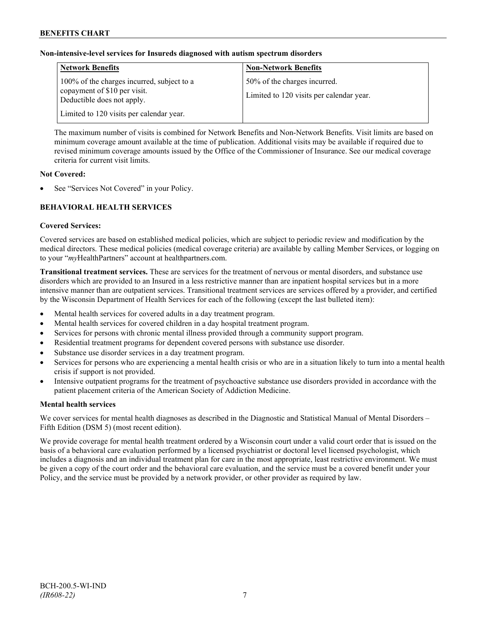## **Non-intensive-level services for Insureds diagnosed with autism spectrum disorders**

| <b>Network Benefits</b>                                                                                  | <b>Non-Network Benefits</b>                                              |
|----------------------------------------------------------------------------------------------------------|--------------------------------------------------------------------------|
| 100% of the charges incurred, subject to a<br>copayment of \$10 per visit.<br>Deductible does not apply. | 50% of the charges incurred.<br>Limited to 120 visits per calendar year. |
| Limited to 120 visits per calendar year.                                                                 |                                                                          |

The maximum number of visits is combined for Network Benefits and Non-Network Benefits. Visit limits are based on minimum coverage amount available at the time of publication. Additional visits may be available if required due to revised minimum coverage amounts issued by the Office of the Commissioner of Insurance. See our medical coverage criteria for current visit limits.

## **Not Covered:**

See "Services Not Covered" in your Policy.

## **BEHAVIORAL HEALTH SERVICES**

#### **Covered Services:**

Covered services are based on established medical policies, which are subject to periodic review and modification by the medical directors. These medical policies (medical coverage criteria) are available by calling Member Services, or logging on to your "*my*HealthPartners" account at [healthpartners.com.](http://www.healthpartners.com/)

**Transitional treatment services.** These are services for the treatment of nervous or mental disorders, and substance use disorders which are provided to an Insured in a less restrictive manner than are inpatient hospital services but in a more intensive manner than are outpatient services. Transitional treatment services are services offered by a provider, and certified by the Wisconsin Department of Health Services for each of the following (except the last bulleted item):

- Mental health services for covered adults in a day treatment program.
- Mental health services for covered children in a day hospital treatment program.
- Services for persons with chronic mental illness provided through a community support program.
- Residential treatment programs for dependent covered persons with substance use disorder.
- Substance use disorder services in a day treatment program.
- Services for persons who are experiencing a mental health crisis or who are in a situation likely to turn into a mental health crisis if support is not provided.
- Intensive outpatient programs for the treatment of psychoactive substance use disorders provided in accordance with the patient placement criteria of the American Society of Addiction Medicine.

## **Mental health services**

We cover services for mental health diagnoses as described in the Diagnostic and Statistical Manual of Mental Disorders – Fifth Edition (DSM 5) (most recent edition).

We provide coverage for mental health treatment ordered by a Wisconsin court under a valid court order that is issued on the basis of a behavioral care evaluation performed by a licensed psychiatrist or doctoral level licensed psychologist, which includes a diagnosis and an individual treatment plan for care in the most appropriate, least restrictive environment. We must be given a copy of the court order and the behavioral care evaluation, and the service must be a covered benefit under your Policy, and the service must be provided by a network provider, or other provider as required by law.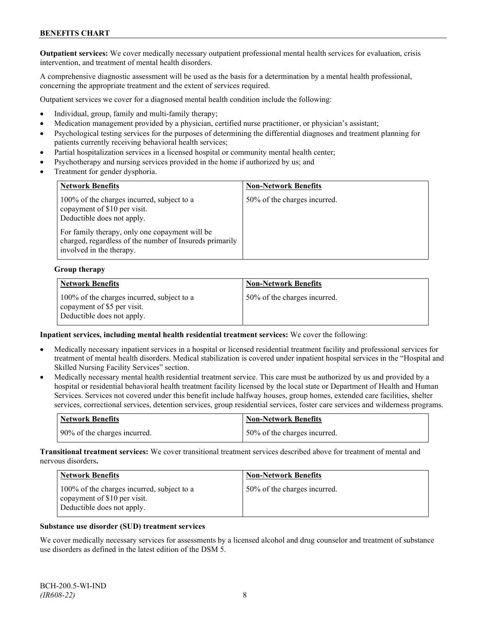**Outpatient services:** We cover medically necessary outpatient professional mental health services for evaluation, crisis intervention, and treatment of mental health disorders.

A comprehensive diagnostic assessment will be used as the basis for a determination by a mental health professional, concerning the appropriate treatment and the extent of services required.

Outpatient services we cover for a diagnosed mental health condition include the following:

- Individual, group, family and multi-family therapy;
- Medication management provided by a physician, certified nurse practitioner, or physician's assistant;
- Psychological testing services for the purposes of determining the differential diagnoses and treatment planning for patients currently receiving behavioral health services;
- Partial hospitalization services in a licensed hospital or community mental health center;
- Psychotherapy and nursing services provided in the home if authorized by us; and
- Treatment for gender dysphoria.

| <b>Network Benefits</b>                                                                                                                                                                                                                           | <b>Non-Network Benefits</b>  |
|---------------------------------------------------------------------------------------------------------------------------------------------------------------------------------------------------------------------------------------------------|------------------------------|
| 100% of the charges incurred, subject to a<br>copayment of \$10 per visit.<br>Deductible does not apply.<br>For family therapy, only one copayment will be<br>charged, regardless of the number of Insureds primarily<br>involved in the therapy. | 50% of the charges incurred. |

#### **Group therapy**

| <b>Network Benefits</b>                                                                                 | <b>Non-Network Benefits</b>   |
|---------------------------------------------------------------------------------------------------------|-------------------------------|
| 100% of the charges incurred, subject to a<br>copayment of \$5 per visit.<br>Deductible does not apply. | 150% of the charges incurred. |

#### **Inpatient services, including mental health residential treatment services:** We cover the following:

- Medically necessary inpatient services in a hospital or licensed residential treatment facility and professional services for treatment of mental health disorders. Medical stabilization is covered under inpatient hospital services in the "Hospital and Skilled Nursing Facility Services" section.
- Medically necessary mental health residential treatment service. This care must be authorized by us and provided by a hospital or residential behavioral health treatment facility licensed by the local state or Department of Health and Human Services. Services not covered under this benefit include halfway houses, group homes, extended care facilities, shelter services, correctional services, detention services, group residential services, foster care services and wilderness programs.

| Network Benefits             | <b>Non-Network Benefits</b>  |
|------------------------------|------------------------------|
| 90% of the charges incurred. | 50% of the charges incurred. |

**Transitional treatment services:** We cover transitional treatment services described above for treatment of mental and nervous disorders**.**

| <b>Network Benefits</b>                                                                                  | <b>Non-Network Benefits</b>  |
|----------------------------------------------------------------------------------------------------------|------------------------------|
| 100% of the charges incurred, subject to a<br>copayment of \$10 per visit.<br>Deductible does not apply. | 50% of the charges incurred. |

#### **Substance use disorder (SUD) treatment services**

We cover medically necessary services for assessments by a licensed alcohol and drug counselor and treatment of substance use disorders as defined in the latest edition of the DSM 5.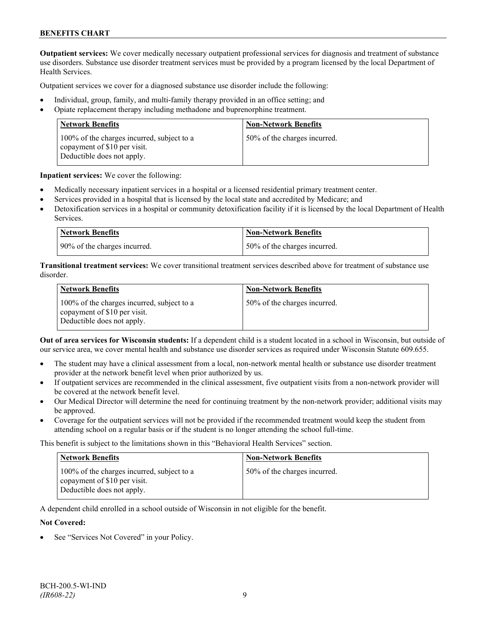**Outpatient services:** We cover medically necessary outpatient professional services for diagnosis and treatment of substance use disorders. Substance use disorder treatment services must be provided by a program licensed by the local Department of Health Services.

Outpatient services we cover for a diagnosed substance use disorder include the following:

- Individual, group, family, and multi-family therapy provided in an office setting; and
- Opiate replacement therapy including methadone and buprenorphine treatment.

| <b>Network Benefits</b>                                                                                  | <b>Non-Network Benefits</b>  |
|----------------------------------------------------------------------------------------------------------|------------------------------|
| 100% of the charges incurred, subject to a<br>copayment of \$10 per visit.<br>Deductible does not apply. | 50% of the charges incurred. |

**Inpatient services:** We cover the following:

- Medically necessary inpatient services in a hospital or a licensed residential primary treatment center.
- Services provided in a hospital that is licensed by the local state and accredited by Medicare; and
- Detoxification services in a hospital or community detoxification facility if it is licensed by the local Department of Health Services.

| <b>Network Benefits</b>      | <b>Non-Network Benefits</b>      |
|------------------------------|----------------------------------|
| 90% of the charges incurred. | $150\%$ of the charges incurred. |

**Transitional treatment services:** We cover transitional treatment services described above for treatment of substance use disorder.

| <b>Network Benefits</b>                                                                                  | <b>Non-Network Benefits</b>  |
|----------------------------------------------------------------------------------------------------------|------------------------------|
| 100% of the charges incurred, subject to a<br>copayment of \$10 per visit.<br>Deductible does not apply. | 50% of the charges incurred. |

**Out of area services for Wisconsin students:** If a dependent child is a student located in a school in Wisconsin, but outside of our service area, we cover mental health and substance use disorder services as required under Wisconsin Statute 609.655.

- The student may have a clinical assessment from a local, non-network mental health or substance use disorder treatment provider at the network benefit level when prior authorized by us.
- If outpatient services are recommended in the clinical assessment, five outpatient visits from a non-network provider will be covered at the network benefit level.
- Our Medical Director will determine the need for continuing treatment by the non-network provider; additional visits may be approved.
- Coverage for the outpatient services will not be provided if the recommended treatment would keep the student from attending school on a regular basis or if the student is no longer attending the school full-time.

This benefit is subject to the limitations shown in this "Behavioral Health Services" section.

| <b>Network Benefits</b>                                                                                  | <b>Non-Network Benefits</b>  |
|----------------------------------------------------------------------------------------------------------|------------------------------|
| 100% of the charges incurred, subject to a<br>copayment of \$10 per visit.<br>Deductible does not apply. | 50% of the charges incurred. |

A dependent child enrolled in a school outside of Wisconsin in not eligible for the benefit.

#### **Not Covered:**

See "Services Not Covered" in your Policy.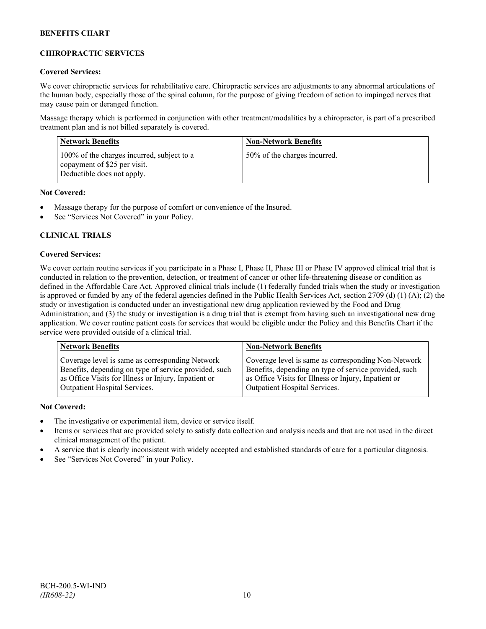## **CHIROPRACTIC SERVICES**

## **Covered Services:**

We cover chiropractic services for rehabilitative care. Chiropractic services are adjustments to any abnormal articulations of the human body, especially those of the spinal column, for the purpose of giving freedom of action to impinged nerves that may cause pain or deranged function.

Massage therapy which is performed in conjunction with other treatment/modalities by a chiropractor, is part of a prescribed treatment plan and is not billed separately is covered.

| <b>Network Benefits</b>                                                                                  | <b>Non-Network Benefits</b>  |
|----------------------------------------------------------------------------------------------------------|------------------------------|
| 100% of the charges incurred, subject to a<br>copayment of \$25 per visit.<br>Deductible does not apply. | 50% of the charges incurred. |

## **Not Covered:**

- Massage therapy for the purpose of comfort or convenience of the Insured.
- See "Services Not Covered" in your Policy.

## **CLINICAL TRIALS**

## **Covered Services:**

We cover certain routine services if you participate in a Phase I, Phase II, Phase III or Phase IV approved clinical trial that is conducted in relation to the prevention, detection, or treatment of cancer or other life-threatening disease or condition as defined in the Affordable Care Act. Approved clinical trials include (1) federally funded trials when the study or investigation is approved or funded by any of the federal agencies defined in the Public Health Services Act, section 2709 (d) (1) (A); (2) the study or investigation is conducted under an investigational new drug application reviewed by the Food and Drug Administration; and (3) the study or investigation is a drug trial that is exempt from having such an investigational new drug application. We cover routine patient costs for services that would be eligible under the Policy and this Benefits Chart if the service were provided outside of a clinical trial.

| <b>Network Benefits</b>                               | <b>Non-Network Benefits</b>                           |
|-------------------------------------------------------|-------------------------------------------------------|
| Coverage level is same as corresponding Network       | Coverage level is same as corresponding Non-Network   |
| Benefits, depending on type of service provided, such | Benefits, depending on type of service provided, such |
| as Office Visits for Illness or Injury, Inpatient or  | as Office Visits for Illness or Injury, Inpatient or  |
| Outpatient Hospital Services.                         | Outpatient Hospital Services.                         |

## **Not Covered:**

- The investigative or experimental item, device or service itself.
- Items or services that are provided solely to satisfy data collection and analysis needs and that are not used in the direct clinical management of the patient.
- A service that is clearly inconsistent with widely accepted and established standards of care for a particular diagnosis.
- See "Services Not Covered" in your Policy.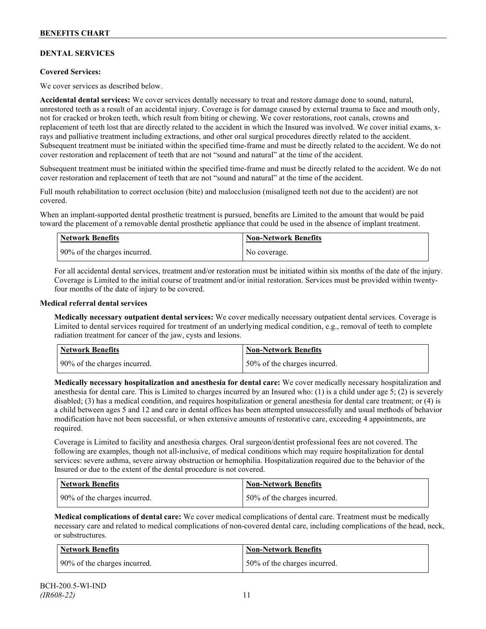## **DENTAL SERVICES**

## **Covered Services:**

We cover services as described below.

**Accidental dental services:** We cover services dentally necessary to treat and restore damage done to sound, natural, unrestored teeth as a result of an accidental injury. Coverage is for damage caused by external trauma to face and mouth only, not for cracked or broken teeth, which result from biting or chewing. We cover restorations, root canals, crowns and replacement of teeth lost that are directly related to the accident in which the Insured was involved. We cover initial exams, xrays and palliative treatment including extractions, and other oral surgical procedures directly related to the accident. Subsequent treatment must be initiated within the specified time-frame and must be directly related to the accident. We do not cover restoration and replacement of teeth that are not "sound and natural" at the time of the accident.

Subsequent treatment must be initiated within the specified time-frame and must be directly related to the accident. We do not cover restoration and replacement of teeth that are not "sound and natural" at the time of the accident.

Full mouth rehabilitation to correct occlusion (bite) and malocclusion (misaligned teeth not due to the accident) are not covered.

When an implant-supported dental prosthetic treatment is pursued, benefits are Limited to the amount that would be paid toward the placement of a removable dental prosthetic appliance that could be used in the absence of implant treatment.

| <b>Network Benefits</b>      | <b>Non-Network Benefits</b> |
|------------------------------|-----------------------------|
| 90% of the charges incurred. | No coverage.                |

For all accidental dental services, treatment and/or restoration must be initiated within six months of the date of the injury. Coverage is Limited to the initial course of treatment and/or initial restoration. Services must be provided within twentyfour months of the date of injury to be covered.

#### **Medical referral dental services**

**Medically necessary outpatient dental services:** We cover medically necessary outpatient dental services. Coverage is Limited to dental services required for treatment of an underlying medical condition, e.g., removal of teeth to complete radiation treatment for cancer of the jaw, cysts and lesions.

| Network Benefits             | <b>Non-Network Benefits</b>  |
|------------------------------|------------------------------|
| 90% of the charges incurred. | 50% of the charges incurred. |

**Medically necessary hospitalization and anesthesia for dental care:** We cover medically necessary hospitalization and anesthesia for dental care. This is Limited to charges incurred by an Insured who: (1) is a child under age 5; (2) is severely disabled; (3) has a medical condition, and requires hospitalization or general anesthesia for dental care treatment; or (4) is a child between ages 5 and 12 and care in dental offices has been attempted unsuccessfully and usual methods of behavior modification have not been successful, or when extensive amounts of restorative care, exceeding 4 appointments, are required.

Coverage is Limited to facility and anesthesia charges. Oral surgeon/dentist professional fees are not covered. The following are examples, though not all-inclusive, of medical conditions which may require hospitalization for dental services: severe asthma, severe airway obstruction or hemophilia. Hospitalization required due to the behavior of the Insured or due to the extent of the dental procedure is not covered.

| Network Benefits             | <b>Non-Network Benefits</b>  |
|------------------------------|------------------------------|
| 90% of the charges incurred. | 50% of the charges incurred. |

**Medical complications of dental care:** We cover medical complications of dental care. Treatment must be medically necessary care and related to medical complications of non-covered dental care, including complications of the head, neck, or substructures.

| Network Benefits             | Non-Network Benefits         |
|------------------------------|------------------------------|
| 90% of the charges incurred. | 50% of the charges incurred. |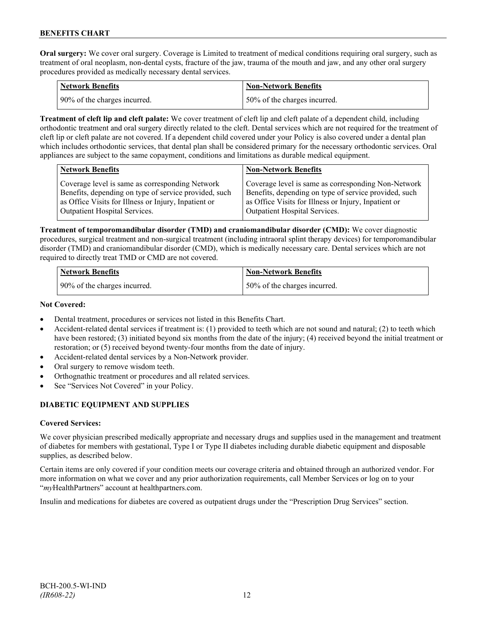**Oral surgery:** We cover oral surgery. Coverage is Limited to treatment of medical conditions requiring oral surgery, such as treatment of oral neoplasm, non-dental cysts, fracture of the jaw, trauma of the mouth and jaw, and any other oral surgery procedures provided as medically necessary dental services.

| Network Benefits             | <b>Non-Network Benefits</b>  |
|------------------------------|------------------------------|
| 90% of the charges incurred. | 50% of the charges incurred. |

**Treatment of cleft lip and cleft palate:** We cover treatment of cleft lip and cleft palate of a dependent child, including orthodontic treatment and oral surgery directly related to the cleft. Dental services which are not required for the treatment of cleft lip or cleft palate are not covered. If a dependent child covered under your Policy is also covered under a dental plan which includes orthodontic services, that dental plan shall be considered primary for the necessary orthodontic services. Oral appliances are subject to the same copayment, conditions and limitations as durable medical equipment.

| <b>Network Benefits</b>                               | <b>Non-Network Benefits</b>                           |
|-------------------------------------------------------|-------------------------------------------------------|
| Coverage level is same as corresponding Network       | Coverage level is same as corresponding Non-Network   |
| Benefits, depending on type of service provided, such | Benefits, depending on type of service provided, such |
| as Office Visits for Illness or Injury, Inpatient or  | as Office Visits for Illness or Injury, Inpatient or  |
| Outpatient Hospital Services.                         | Outpatient Hospital Services.                         |

**Treatment of temporomandibular disorder (TMD) and craniomandibular disorder (CMD):** We cover diagnostic procedures, surgical treatment and non-surgical treatment (including intraoral splint therapy devices) for temporomandibular disorder (TMD) and craniomandibular disorder (CMD), which is medically necessary care. Dental services which are not required to directly treat TMD or CMD are not covered.

| <b>Network Benefits</b>      | <b>Non-Network Benefits</b>  |
|------------------------------|------------------------------|
| 90% of the charges incurred. | 50% of the charges incurred. |

## **Not Covered:**

- Dental treatment, procedures or services not listed in this Benefits Chart.
- Accident-related dental services if treatment is: (1) provided to teeth which are not sound and natural; (2) to teeth which have been restored; (3) initiated beyond six months from the date of the injury; (4) received beyond the initial treatment or restoration; or (5) received beyond twenty-four months from the date of injury.
- Accident-related dental services by a Non-Network provider.
- Oral surgery to remove wisdom teeth.
- Orthognathic treatment or procedures and all related services.
- See "Services Not Covered" in your Policy.

## **DIABETIC EQUIPMENT AND SUPPLIES**

## **Covered Services:**

We cover physician prescribed medically appropriate and necessary drugs and supplies used in the management and treatment of diabetes for members with gestational, Type I or Type II diabetes including durable diabetic equipment and disposable supplies, as described below.

Certain items are only covered if your condition meets our coverage criteria and obtained through an authorized vendor. For more information on what we cover and any prior authorization requirements, call Member Services or log on to your "*my*HealthPartners" account at [healthpartners.com.](http://www.healthpartners.com/)

Insulin and medications for diabetes are covered as outpatient drugs under the "Prescription Drug Services" section.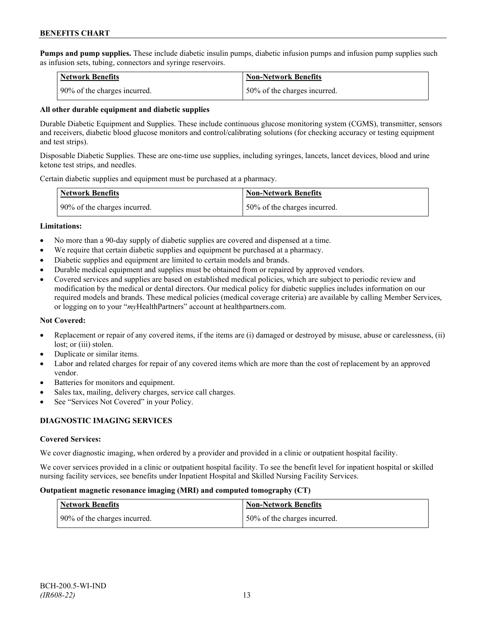**Pumps and pump supplies.** These include diabetic insulin pumps, diabetic infusion pumps and infusion pump supplies such as infusion sets, tubing, connectors and syringe reservoirs.

| <b>Network Benefits</b>      | <b>Non-Network Benefits</b>  |
|------------------------------|------------------------------|
| 90% of the charges incurred. | 50% of the charges incurred. |

#### **All other durable equipment and diabetic supplies**

Durable Diabetic Equipment and Supplies. These include continuous glucose monitoring system (CGMS), transmitter, sensors and receivers, diabetic blood glucose monitors and control/calibrating solutions (for checking accuracy or testing equipment and test strips).

Disposable Diabetic Supplies. These are one-time use supplies, including syringes, lancets, lancet devices, blood and urine ketone test strips, and needles.

Certain diabetic supplies and equipment must be purchased at a pharmacy.

| <b>Network Benefits</b>      | <b>Non-Network Benefits</b>      |
|------------------------------|----------------------------------|
| 90% of the charges incurred. | $150\%$ of the charges incurred. |

#### **Limitations:**

- No more than a 90-day supply of diabetic supplies are covered and dispensed at a time.
- We require that certain diabetic supplies and equipment be purchased at a pharmacy.
- Diabetic supplies and equipment are limited to certain models and brands.
- Durable medical equipment and supplies must be obtained from or repaired by approved vendors.
- Covered services and supplies are based on established medical policies, which are subject to periodic review and modification by the medical or dental directors. Our medical policy for diabetic supplies includes information on our required models and brands. These medical policies (medical coverage criteria) are available by calling Member Services, or logging on to your "*my*HealthPartners" account at healthpartners.com.

## **Not Covered:**

- Replacement or repair of any covered items, if the items are (i) damaged or destroyed by misuse, abuse or carelessness, (ii) lost; or (iii) stolen.
- Duplicate or similar items.
- Labor and related charges for repair of any covered items which are more than the cost of replacement by an approved vendor.
- Batteries for monitors and equipment.
- Sales tax, mailing, delivery charges, service call charges.
- See "Services Not Covered" in your Policy.

## **DIAGNOSTIC IMAGING SERVICES**

## **Covered Services:**

We cover diagnostic imaging, when ordered by a provider and provided in a clinic or outpatient hospital facility.

We cover services provided in a clinic or outpatient hospital facility. To see the benefit level for inpatient hospital or skilled nursing facility services, see benefits under Inpatient Hospital and Skilled Nursing Facility Services.

#### **Outpatient magnetic resonance imaging (MRI) and computed tomography (CT)**

| Network Benefits             | <b>Non-Network Benefits</b>  |
|------------------------------|------------------------------|
| 90% of the charges incurred. | 50% of the charges incurred. |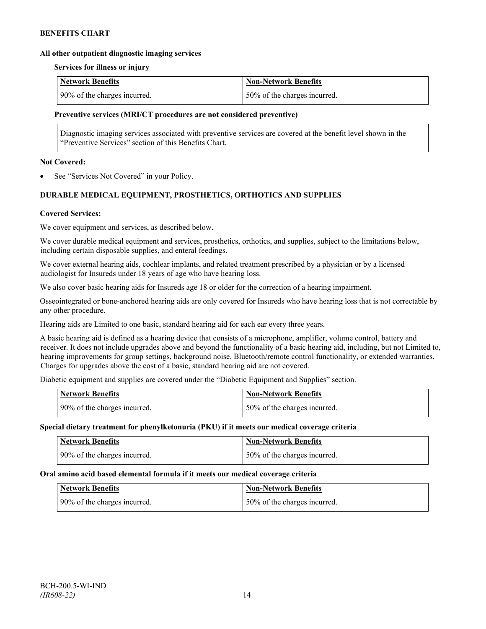#### **All other outpatient diagnostic imaging services**

#### **Services for illness or injury**

| <b>Network Benefits</b>      | Non-Network Benefits          |
|------------------------------|-------------------------------|
| 90% of the charges incurred. | 150% of the charges incurred. |

#### **Preventive services (MRI/CT procedures are not considered preventive)**

Diagnostic imaging services associated with preventive services are covered at the benefit level shown in the "Preventive Services" section of this Benefits Chart.

#### **Not Covered:**

See "Services Not Covered" in your Policy.

## **DURABLE MEDICAL EQUIPMENT, PROSTHETICS, ORTHOTICS AND SUPPLIES**

#### **Covered Services:**

We cover equipment and services, as described below.

We cover durable medical equipment and services, prosthetics, orthotics, and supplies, subject to the limitations below, including certain disposable supplies, and enteral feedings.

We cover external hearing aids, cochlear implants, and related treatment prescribed by a physician or by a licensed audiologist for Insureds under 18 years of age who have hearing loss.

We also cover basic hearing aids for Insureds age 18 or older for the correction of a hearing impairment.

Osseointegrated or bone-anchored hearing aids are only covered for Insureds who have hearing loss that is not correctable by any other procedure.

Hearing aids are Limited to one basic, standard hearing aid for each ear every three years.

A basic hearing aid is defined as a hearing device that consists of a microphone, amplifier, volume control, battery and receiver. It does not include upgrades above and beyond the functionality of a basic hearing aid, including, but not Limited to, hearing improvements for group settings, background noise, Bluetooth/remote control functionality, or extended warranties. Charges for upgrades above the cost of a basic, standard hearing aid are not covered.

Diabetic equipment and supplies are covered under the "Diabetic Equipment and Supplies" section.

| <b>Network Benefits</b>      | Non-Network Benefits         |
|------------------------------|------------------------------|
| 90% of the charges incurred. | 50% of the charges incurred. |

#### **Special dietary treatment for phenylketonuria (PKU) if it meets our medical coverage criteria**

| <b>Network Benefits</b>      | <b>Non-Network Benefits</b>  |
|------------------------------|------------------------------|
| 90% of the charges incurred. | 50% of the charges incurred. |

#### **Oral amino acid based elemental formula if it meets our medical coverage criteria**

| Network Benefits             | <b>Non-Network Benefits</b>  |
|------------------------------|------------------------------|
| 90% of the charges incurred. | 50% of the charges incurred. |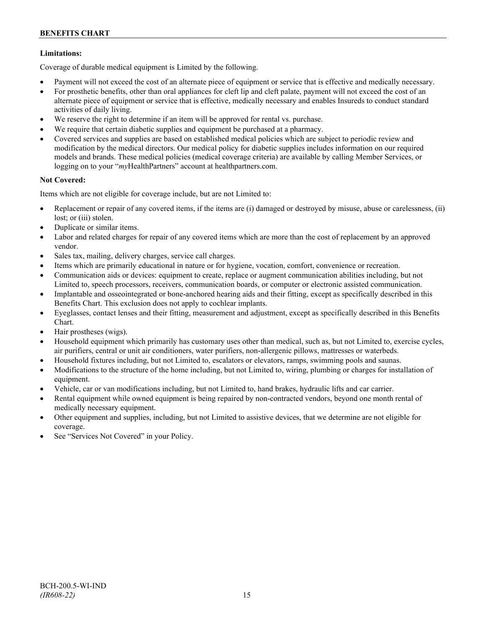## **Limitations:**

Coverage of durable medical equipment is Limited by the following.

- Payment will not exceed the cost of an alternate piece of equipment or service that is effective and medically necessary.
- For prosthetic benefits, other than oral appliances for cleft lip and cleft palate, payment will not exceed the cost of an alternate piece of equipment or service that is effective, medically necessary and enables Insureds to conduct standard activities of daily living.
- We reserve the right to determine if an item will be approved for rental vs. purchase.
- We require that certain diabetic supplies and equipment be purchased at a pharmacy.
- Covered services and supplies are based on established medical policies which are subject to periodic review and modification by the medical directors. Our medical policy for diabetic supplies includes information on our required models and brands. These medical policies (medical coverage criteria) are available by calling Member Services, or logging on to your "*my*HealthPartners" account at [healthpartners.com.](http://www.healthpartners.com/)

## **Not Covered:**

Items which are not eligible for coverage include, but are not Limited to:

- Replacement or repair of any covered items, if the items are (i) damaged or destroyed by misuse, abuse or carelessness, (ii) lost; or (iii) stolen.
- Duplicate or similar items.
- Labor and related charges for repair of any covered items which are more than the cost of replacement by an approved vendor.
- Sales tax, mailing, delivery charges, service call charges.
- Items which are primarily educational in nature or for hygiene, vocation, comfort, convenience or recreation.
- Communication aids or devices: equipment to create, replace or augment communication abilities including, but not Limited to, speech processors, receivers, communication boards, or computer or electronic assisted communication.
- Implantable and osseointegrated or bone-anchored hearing aids and their fitting, except as specifically described in this Benefits Chart. This exclusion does not apply to cochlear implants.
- Eyeglasses, contact lenses and their fitting, measurement and adjustment, except as specifically described in this Benefits Chart.
- Hair prostheses (wigs).
- Household equipment which primarily has customary uses other than medical, such as, but not Limited to, exercise cycles, air purifiers, central or unit air conditioners, water purifiers, non-allergenic pillows, mattresses or waterbeds.
- Household fixtures including, but not Limited to, escalators or elevators, ramps, swimming pools and saunas.
- Modifications to the structure of the home including, but not Limited to, wiring, plumbing or charges for installation of equipment.
- Vehicle, car or van modifications including, but not Limited to, hand brakes, hydraulic lifts and car carrier.
- Rental equipment while owned equipment is being repaired by non-contracted vendors, beyond one month rental of medically necessary equipment.
- Other equipment and supplies, including, but not Limited to assistive devices, that we determine are not eligible for coverage.
- See "Services Not Covered" in your Policy.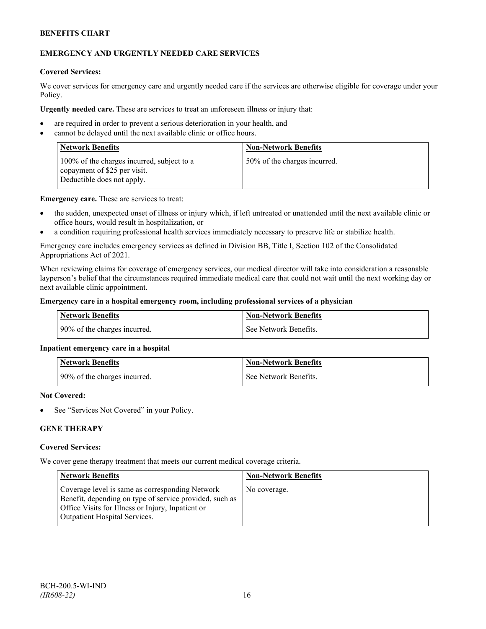## **EMERGENCY AND URGENTLY NEEDED CARE SERVICES**

#### **Covered Services:**

We cover services for emergency care and urgently needed care if the services are otherwise eligible for coverage under your Policy.

**Urgently needed care.** These are services to treat an unforeseen illness or injury that:

- are required in order to prevent a serious deterioration in your health, and
- cannot be delayed until the next available clinic or office hours.

| <b>Network Benefits</b>                                                                                  | <b>Non-Network Benefits</b>  |
|----------------------------------------------------------------------------------------------------------|------------------------------|
| 100% of the charges incurred, subject to a<br>copayment of \$25 per visit.<br>Deductible does not apply. | 50% of the charges incurred. |

**Emergency care.** These are services to treat:

- the sudden, unexpected onset of illness or injury which, if left untreated or unattended until the next available clinic or office hours, would result in hospitalization, or
- a condition requiring professional health services immediately necessary to preserve life or stabilize health.

Emergency care includes emergency services as defined in Division BB, Title I, Section 102 of the Consolidated Appropriations Act of 2021.

When reviewing claims for coverage of emergency services, our medical director will take into consideration a reasonable layperson's belief that the circumstances required immediate medical care that could not wait until the next working day or next available clinic appointment.

#### **Emergency care in a hospital emergency room, including professional services of a physician**

| Network Benefits             | <b>Non-Network Benefits</b> |
|------------------------------|-----------------------------|
| 90% of the charges incurred. | See Network Benefits.       |

#### **Inpatient emergency care in a hospital**

| <b>Network Benefits</b>      | <b>Non-Network Benefits</b> |
|------------------------------|-----------------------------|
| 90% of the charges incurred. | See Network Benefits.       |

#### **Not Covered:**

See "Services Not Covered" in your Policy.

## **GENE THERAPY**

#### **Covered Services:**

We cover gene therapy treatment that meets our current medical coverage criteria.

| <b>Network Benefits</b>                                                                                                                                                                                 | <b>Non-Network Benefits</b> |
|---------------------------------------------------------------------------------------------------------------------------------------------------------------------------------------------------------|-----------------------------|
| Coverage level is same as corresponding Network<br>Benefit, depending on type of service provided, such as<br>Office Visits for Illness or Injury, Inpatient or<br><b>Outpatient Hospital Services.</b> | No coverage.                |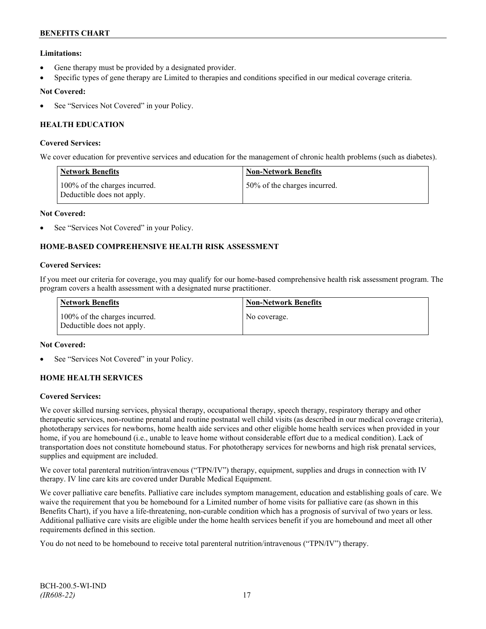## **Limitations:**

- Gene therapy must be provided by a designated provider.
- Specific types of gene therapy are Limited to therapies and conditions specified in our medical coverage criteria.

## **Not Covered:**

See "Services Not Covered" in your Policy.

## **HEALTH EDUCATION**

#### **Covered Services:**

We cover education for preventive services and education for the management of chronic health problems (such as diabetes).

| <b>Network Benefits</b>                                     | <b>Non-Network Benefits</b>  |
|-------------------------------------------------------------|------------------------------|
| 100% of the charges incurred.<br>Deductible does not apply. | 50% of the charges incurred. |

#### **Not Covered:**

See "Services Not Covered" in your Policy.

## **HOME-BASED COMPREHENSIVE HEALTH RISK ASSESSMENT**

#### **Covered Services:**

If you meet our criteria for coverage, you may qualify for our home-based comprehensive health risk assessment program. The program covers a health assessment with a designated nurse practitioner.

| Network Benefits                                            | <b>Non-Network Benefits</b> |
|-------------------------------------------------------------|-----------------------------|
| 100% of the charges incurred.<br>Deductible does not apply. | No coverage.                |

#### **Not Covered:**

See "Services Not Covered" in your Policy.

## **HOME HEALTH SERVICES**

#### **Covered Services:**

We cover skilled nursing services, physical therapy, occupational therapy, speech therapy, respiratory therapy and other therapeutic services, non-routine prenatal and routine postnatal well child visits (as described in our medical coverage criteria), phototherapy services for newborns, home health aide services and other eligible home health services when provided in your home, if you are homebound (i.e., unable to leave home without considerable effort due to a medical condition). Lack of transportation does not constitute homebound status. For phototherapy services for newborns and high risk prenatal services, supplies and equipment are included.

We cover total parenteral nutrition/intravenous ("TPN/IV") therapy, equipment, supplies and drugs in connection with IV therapy. IV line care kits are covered under Durable Medical Equipment.

We cover palliative care benefits. Palliative care includes symptom management, education and establishing goals of care. We waive the requirement that you be homebound for a Limited number of home visits for palliative care (as shown in this Benefits Chart), if you have a life-threatening, non-curable condition which has a prognosis of survival of two years or less. Additional palliative care visits are eligible under the home health services benefit if you are homebound and meet all other requirements defined in this section.

You do not need to be homebound to receive total parenteral nutrition/intravenous ("TPN/IV") therapy.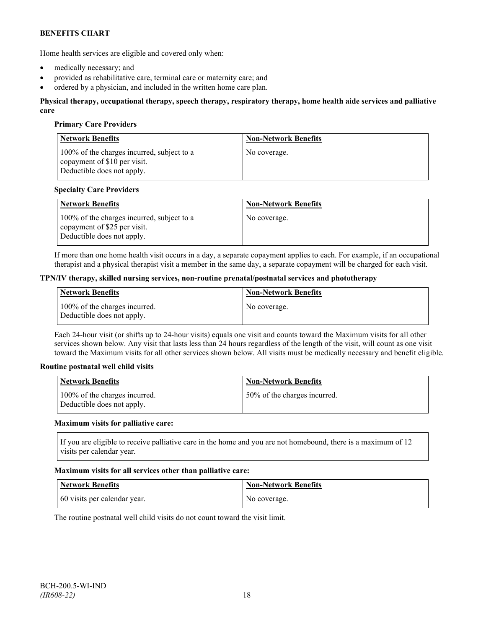Home health services are eligible and covered only when:

- medically necessary; and
- provided as rehabilitative care, terminal care or maternity care; and
- ordered by a physician, and included in the written home care plan.

#### **Physical therapy, occupational therapy, speech therapy, respiratory therapy, home health aide services and palliative care**

#### **Primary Care Providers**

| <b>Network Benefits</b>                                                                                  | <b>Non-Network Benefits</b> |
|----------------------------------------------------------------------------------------------------------|-----------------------------|
| 100% of the charges incurred, subject to a<br>copayment of \$10 per visit.<br>Deductible does not apply. | No coverage.                |

#### **Specialty Care Providers**

| <b>Network Benefits</b>                                                                                  | <b>Non-Network Benefits</b> |
|----------------------------------------------------------------------------------------------------------|-----------------------------|
| 100% of the charges incurred, subject to a<br>copayment of \$25 per visit.<br>Deductible does not apply. | No coverage.                |

If more than one home health visit occurs in a day, a separate copayment applies to each. For example, if an occupational therapist and a physical therapist visit a member in the same day, a separate copayment will be charged for each visit.

#### **TPN/IV therapy, skilled nursing services, non-routine prenatal/postnatal services and phototherapy**

| Network Benefits                                            | <b>Non-Network Benefits</b> |
|-------------------------------------------------------------|-----------------------------|
| 100% of the charges incurred.<br>Deductible does not apply. | No coverage.                |

Each 24-hour visit (or shifts up to 24-hour visits) equals one visit and counts toward the Maximum visits for all other services shown below. Any visit that lasts less than 24 hours regardless of the length of the visit, will count as one visit toward the Maximum visits for all other services shown below. All visits must be medically necessary and benefit eligible.

#### **Routine postnatal well child visits**

| Network Benefits                                            | <b>Non-Network Benefits</b>  |
|-------------------------------------------------------------|------------------------------|
| 100% of the charges incurred.<br>Deductible does not apply. | 50% of the charges incurred. |

#### **Maximum visits for palliative care:**

If you are eligible to receive palliative care in the home and you are not homebound, there is a maximum of 12 visits per calendar year.

#### **Maximum visits for all services other than palliative care:**

| <b>Network Benefits</b>      | <b>Non-Network Benefits</b> |
|------------------------------|-----------------------------|
| 60 visits per calendar year. | No coverage.                |

The routine postnatal well child visits do not count toward the visit limit.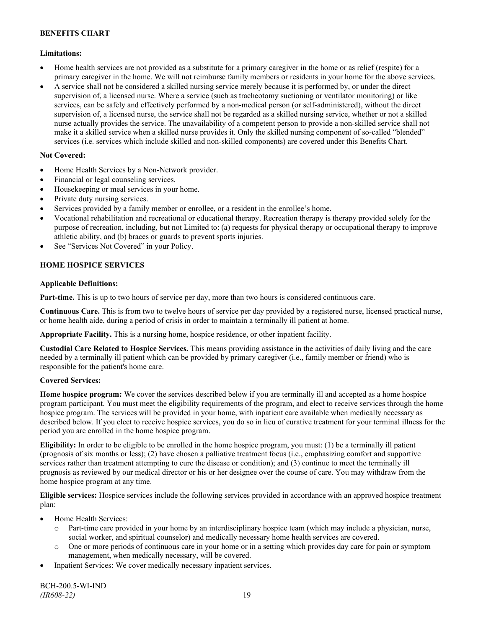## **Limitations:**

- Home health services are not provided as a substitute for a primary caregiver in the home or as relief (respite) for a primary caregiver in the home. We will not reimburse family members or residents in your home for the above services.
- A service shall not be considered a skilled nursing service merely because it is performed by, or under the direct supervision of, a licensed nurse. Where a service (such as tracheotomy suctioning or ventilator monitoring) or like services, can be safely and effectively performed by a non-medical person (or self-administered), without the direct supervision of, a licensed nurse, the service shall not be regarded as a skilled nursing service, whether or not a skilled nurse actually provides the service. The unavailability of a competent person to provide a non-skilled service shall not make it a skilled service when a skilled nurse provides it. Only the skilled nursing component of so-called "blended" services (i.e. services which include skilled and non-skilled components) are covered under this Benefits Chart.

## **Not Covered:**

- Home Health Services by a Non-Network provider.
- Financial or legal counseling services.
- Housekeeping or meal services in your home.
- Private duty nursing services.
- Services provided by a family member or enrollee, or a resident in the enrollee's home.
- Vocational rehabilitation and recreational or educational therapy. Recreation therapy is therapy provided solely for the purpose of recreation, including, but not Limited to: (a) requests for physical therapy or occupational therapy to improve athletic ability, and (b) braces or guards to prevent sports injuries.
- See "Services Not Covered" in your Policy.

## **HOME HOSPICE SERVICES**

## **Applicable Definitions:**

**Part-time.** This is up to two hours of service per day, more than two hours is considered continuous care.

**Continuous Care.** This is from two to twelve hours of service per day provided by a registered nurse, licensed practical nurse, or home health aide, during a period of crisis in order to maintain a terminally ill patient at home.

**Appropriate Facility.** This is a nursing home, hospice residence, or other inpatient facility.

**Custodial Care Related to Hospice Services.** This means providing assistance in the activities of daily living and the care needed by a terminally ill patient which can be provided by primary caregiver (i.e., family member or friend) who is responsible for the patient's home care.

## **Covered Services:**

**Home hospice program:** We cover the services described below if you are terminally ill and accepted as a home hospice program participant. You must meet the eligibility requirements of the program, and elect to receive services through the home hospice program. The services will be provided in your home, with inpatient care available when medically necessary as described below. If you elect to receive hospice services, you do so in lieu of curative treatment for your terminal illness for the period you are enrolled in the home hospice program.

**Eligibility:** In order to be eligible to be enrolled in the home hospice program, you must: (1) be a terminally ill patient (prognosis of six months or less); (2) have chosen a palliative treatment focus (i.e., emphasizing comfort and supportive services rather than treatment attempting to cure the disease or condition); and (3) continue to meet the terminally ill prognosis as reviewed by our medical director or his or her designee over the course of care. You may withdraw from the home hospice program at any time.

**Eligible services:** Hospice services include the following services provided in accordance with an approved hospice treatment plan:

- Home Health Services:
	- o Part-time care provided in your home by an interdisciplinary hospice team (which may include a physician, nurse, social worker, and spiritual counselor) and medically necessary home health services are covered.
	- o One or more periods of continuous care in your home or in a setting which provides day care for pain or symptom management, when medically necessary, will be covered.
- Inpatient Services: We cover medically necessary inpatient services.

BCH-200.5-WI-IND *(IR608-22)* 19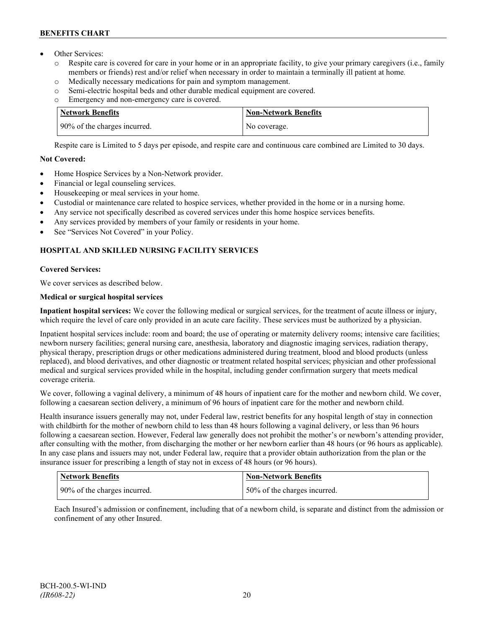- Other Services:
	- o Respite care is covered for care in your home or in an appropriate facility, to give your primary caregivers (i.e., family members or friends) rest and/or relief when necessary in order to maintain a terminally ill patient at home*.*
	- o Medically necessary medications for pain and symptom management.
	- o Semi-electric hospital beds and other durable medical equipment are covered.
	- o Emergency and non-emergency care is covered.

| Network Benefits             | <b>Non-Network Benefits</b> |
|------------------------------|-----------------------------|
| 90% of the charges incurred. | No coverage.                |

Respite care is Limited to 5 days per episode, and respite care and continuous care combined are Limited to 30 days.

## **Not Covered:**

- Home Hospice Services by a Non-Network provider.
- Financial or legal counseling services.
- Housekeeping or meal services in your home.
- Custodial or maintenance care related to hospice services, whether provided in the home or in a nursing home.
- Any service not specifically described as covered services under this home hospice services benefits.
- Any services provided by members of your family or residents in your home.
- See "Services Not Covered" in your Policy.

## **HOSPITAL AND SKILLED NURSING FACILITY SERVICES**

## **Covered Services:**

We cover services as described below.

## **Medical or surgical hospital services**

**Inpatient hospital services:** We cover the following medical or surgical services, for the treatment of acute illness or injury, which require the level of care only provided in an acute care facility. These services must be authorized by a physician.

Inpatient hospital services include: room and board; the use of operating or maternity delivery rooms; intensive care facilities; newborn nursery facilities; general nursing care, anesthesia, laboratory and diagnostic imaging services, radiation therapy, physical therapy, prescription drugs or other medications administered during treatment, blood and blood products (unless replaced), and blood derivatives, and other diagnostic or treatment related hospital services; physician and other professional medical and surgical services provided while in the hospital, including gender confirmation surgery that meets medical coverage criteria.

We cover, following a vaginal delivery, a minimum of 48 hours of inpatient care for the mother and newborn child. We cover, following a caesarean section delivery, a minimum of 96 hours of inpatient care for the mother and newborn child.

Health insurance issuers generally may not, under Federal law, restrict benefits for any hospital length of stay in connection with childbirth for the mother of newborn child to less than 48 hours following a vaginal delivery, or less than 96 hours following a caesarean section. However, Federal law generally does not prohibit the mother's or newborn's attending provider, after consulting with the mother, from discharging the mother or her newborn earlier than 48 hours (or 96 hours as applicable). In any case plans and issuers may not, under Federal law, require that a provider obtain authorization from the plan or the insurance issuer for prescribing a length of stay not in excess of 48 hours (or 96 hours).

| <b>Network Benefits</b>      | <b>Non-Network Benefits</b>  |
|------------------------------|------------------------------|
| 90% of the charges incurred. | 50% of the charges incurred. |

Each Insured's admission or confinement, including that of a newborn child, is separate and distinct from the admission or confinement of any other Insured.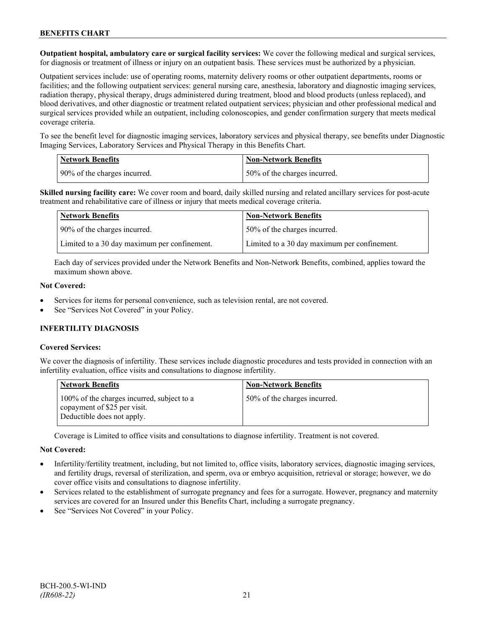**Outpatient hospital, ambulatory care or surgical facility services:** We cover the following medical and surgical services, for diagnosis or treatment of illness or injury on an outpatient basis. These services must be authorized by a physician.

Outpatient services include: use of operating rooms, maternity delivery rooms or other outpatient departments, rooms or facilities; and the following outpatient services: general nursing care, anesthesia, laboratory and diagnostic imaging services, radiation therapy, physical therapy, drugs administered during treatment, blood and blood products (unless replaced), and blood derivatives, and other diagnostic or treatment related outpatient services; physician and other professional medical and surgical services provided while an outpatient, including colonoscopies, and gender confirmation surgery that meets medical coverage criteria.

To see the benefit level for diagnostic imaging services, laboratory services and physical therapy, see benefits under Diagnostic Imaging Services, Laboratory Services and Physical Therapy in this Benefits Chart.

| <b>Network Benefits</b>      | <b>Non-Network Benefits</b>  |
|------------------------------|------------------------------|
| 90% of the charges incurred. | 50% of the charges incurred. |

**Skilled nursing facility care:** We cover room and board, daily skilled nursing and related ancillary services for post-acute treatment and rehabilitative care of illness or injury that meets medical coverage criteria.

| Network Benefits                             | <b>Non-Network Benefits</b>                  |
|----------------------------------------------|----------------------------------------------|
| 90% of the charges incurred.                 | 50% of the charges incurred.                 |
| Limited to a 30 day maximum per confinement. | Limited to a 30 day maximum per confinement. |

Each day of services provided under the Network Benefits and Non-Network Benefits, combined, applies toward the maximum shown above.

#### **Not Covered:**

- Services for items for personal convenience, such as television rental, are not covered.
- See "Services Not Covered" in your Policy.

## **INFERTILITY DIAGNOSIS**

## **Covered Services:**

We cover the diagnosis of infertility. These services include diagnostic procedures and tests provided in connection with an infertility evaluation, office visits and consultations to diagnose infertility.

| <b>Network Benefits</b>                                                                                  | <b>Non-Network Benefits</b>  |
|----------------------------------------------------------------------------------------------------------|------------------------------|
| 100% of the charges incurred, subject to a<br>copayment of \$25 per visit.<br>Deductible does not apply. | 50% of the charges incurred. |

Coverage is Limited to office visits and consultations to diagnose infertility. Treatment is not covered.

## **Not Covered:**

- Infertility/fertility treatment, including, but not limited to, office visits, laboratory services, diagnostic imaging services, and fertility drugs, reversal of sterilization, and sperm, ova or embryo acquisition, retrieval or storage; however, we do cover office visits and consultations to diagnose infertility.
- Services related to the establishment of surrogate pregnancy and fees for a surrogate. However, pregnancy and maternity services are covered for an Insured under this Benefits Chart, including a surrogate pregnancy.
- See "Services Not Covered" in your Policy.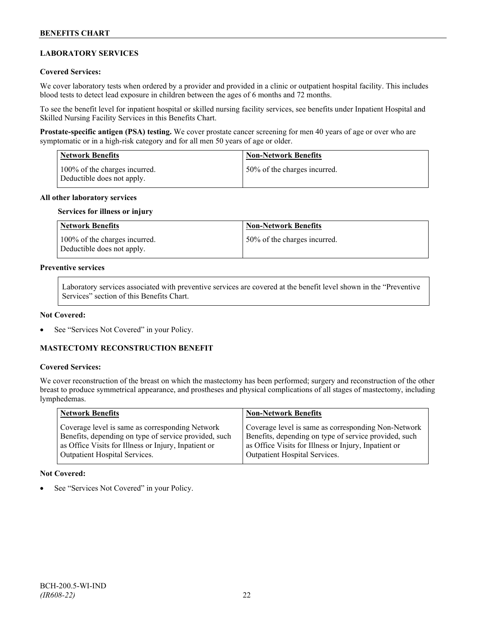## **LABORATORY SERVICES**

#### **Covered Services:**

We cover laboratory tests when ordered by a provider and provided in a clinic or outpatient hospital facility. This includes blood tests to detect lead exposure in children between the ages of 6 months and 72 months.

To see the benefit level for inpatient hospital or skilled nursing facility services, see benefits under Inpatient Hospital and Skilled Nursing Facility Services in this Benefits Chart.

**Prostate-specific antigen (PSA) testing.** We cover prostate cancer screening for men 40 years of age or over who are symptomatic or in a high-risk category and for all men 50 years of age or older.

| <b>Network Benefits</b>                                     | <b>Non-Network Benefits</b>  |
|-------------------------------------------------------------|------------------------------|
| 100% of the charges incurred.<br>Deductible does not apply. | 50% of the charges incurred. |

#### **All other laboratory services**

#### **Services for illness or injury**

| Network Benefits                                            | <b>Non-Network Benefits</b>  |
|-------------------------------------------------------------|------------------------------|
| 100% of the charges incurred.<br>Deductible does not apply. | 50% of the charges incurred. |

## **Preventive services**

Laboratory services associated with preventive services are covered at the benefit level shown in the "Preventive Services" section of this Benefits Chart.

#### **Not Covered:**

See "Services Not Covered" in your Policy.

## **MASTECTOMY RECONSTRUCTION BENEFIT**

#### **Covered Services:**

We cover reconstruction of the breast on which the mastectomy has been performed; surgery and reconstruction of the other breast to produce symmetrical appearance, and prostheses and physical complications of all stages of mastectomy, including lymphedemas.

| Network Benefits                                      | <b>Non-Network Benefits</b>                           |
|-------------------------------------------------------|-------------------------------------------------------|
| Coverage level is same as corresponding Network       | Coverage level is same as corresponding Non-Network   |
| Benefits, depending on type of service provided, such | Benefits, depending on type of service provided, such |
| as Office Visits for Illness or Injury, Inpatient or  | as Office Visits for Illness or Injury, Inpatient or  |
| <b>Outpatient Hospital Services.</b>                  | Outpatient Hospital Services.                         |

#### **Not Covered:**

See "Services Not Covered" in your Policy.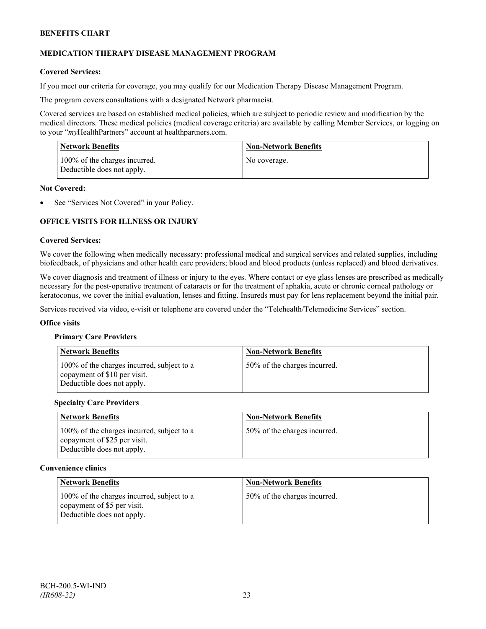## **MEDICATION THERAPY DISEASE MANAGEMENT PROGRAM**

## **Covered Services:**

If you meet our criteria for coverage, you may qualify for our Medication Therapy Disease Management Program.

The program covers consultations with a designated Network pharmacist.

Covered services are based on established medical policies, which are subject to periodic review and modification by the medical directors. These medical policies (medical coverage criteria) are available by calling Member Services, or logging on to your "*my*HealthPartners" account at [healthpartners.com.](http://www.healthpartners.com/)

| <b>Network Benefits</b>                                     | <b>Non-Network Benefits</b> |
|-------------------------------------------------------------|-----------------------------|
| 100% of the charges incurred.<br>Deductible does not apply. | No coverage.                |

#### **Not Covered:**

See "Services Not Covered" in your Policy.

## **OFFICE VISITS FOR ILLNESS OR INJURY**

#### **Covered Services:**

We cover the following when medically necessary: professional medical and surgical services and related supplies, including biofeedback, of physicians and other health care providers; blood and blood products (unless replaced) and blood derivatives.

We cover diagnosis and treatment of illness or injury to the eyes. Where contact or eye glass lenses are prescribed as medically necessary for the post-operative treatment of cataracts or for the treatment of aphakia, acute or chronic corneal pathology or keratoconus, we cover the initial evaluation, lenses and fitting. Insureds must pay for lens replacement beyond the initial pair.

Services received via video, e-visit or telephone are covered under the "Telehealth/Telemedicine Services" section.

#### **Office visits**

#### **Primary Care Providers**

| <b>Network Benefits</b>                                                                                  | <b>Non-Network Benefits</b>  |
|----------------------------------------------------------------------------------------------------------|------------------------------|
| 100% of the charges incurred, subject to a<br>copayment of \$10 per visit.<br>Deductible does not apply. | 50% of the charges incurred. |

#### **Specialty Care Providers**

| <b>Network Benefits</b>                                                                                  | <b>Non-Network Benefits</b>  |
|----------------------------------------------------------------------------------------------------------|------------------------------|
| 100% of the charges incurred, subject to a<br>copayment of \$25 per visit.<br>Deductible does not apply. | 50% of the charges incurred. |

#### **Convenience clinics**

| <b>Network Benefits</b>                                                                                 | <b>Non-Network Benefits</b>  |
|---------------------------------------------------------------------------------------------------------|------------------------------|
| 100% of the charges incurred, subject to a<br>copayment of \$5 per visit.<br>Deductible does not apply. | 50% of the charges incurred. |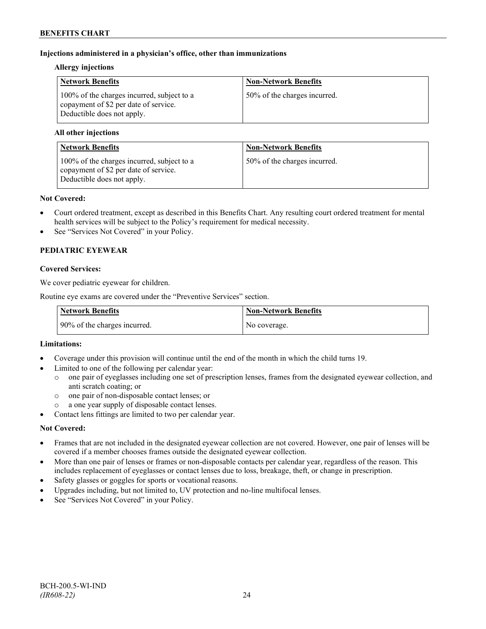## **Injections administered in a physician's office, other than immunizations**

#### **Allergy injections**

| <b>Network Benefits</b>                                                                                           | <b>Non-Network Benefits</b>  |
|-------------------------------------------------------------------------------------------------------------------|------------------------------|
| 100% of the charges incurred, subject to a<br>copayment of \$2 per date of service.<br>Deductible does not apply. | 50% of the charges incurred. |

## **All other injections**

| <b>Network Benefits</b>                                                                                           | <b>Non-Network Benefits</b>  |
|-------------------------------------------------------------------------------------------------------------------|------------------------------|
| 100% of the charges incurred, subject to a<br>copayment of \$2 per date of service.<br>Deductible does not apply. | 50% of the charges incurred. |

#### **Not Covered:**

- Court ordered treatment, except as described in this Benefits Chart. Any resulting court ordered treatment for mental health services will be subject to the Policy's requirement for medical necessity.
- See "Services Not Covered" in your Policy.

## **PEDIATRIC EYEWEAR**

## **Covered Services:**

We cover pediatric eyewear for children.

Routine eye exams are covered under the "Preventive Services" section.

| <b>Network Benefits</b>      | Non-Network Benefits |
|------------------------------|----------------------|
| 90% of the charges incurred. | No coverage.         |

## **Limitations:**

- Coverage under this provision will continue until the end of the month in which the child turns 19.
- Limited to one of the following per calendar year:
	- o one pair of eyeglasses including one set of prescription lenses, frames from the designated eyewear collection, and anti scratch coating; or
	- o one pair of non-disposable contact lenses; or
	- a one year supply of disposable contact lenses.
- Contact lens fittings are limited to two per calendar year.

## **Not Covered:**

- Frames that are not included in the designated eyewear collection are not covered. However, one pair of lenses will be covered if a member chooses frames outside the designated eyewear collection.
- More than one pair of lenses or frames or non-disposable contacts per calendar year, regardless of the reason. This includes replacement of eyeglasses or contact lenses due to loss, breakage, theft, or change in prescription.
- Safety glasses or goggles for sports or vocational reasons.
- Upgrades including, but not limited to, UV protection and no-line multifocal lenses.
- See "Services Not Covered" in your Policy.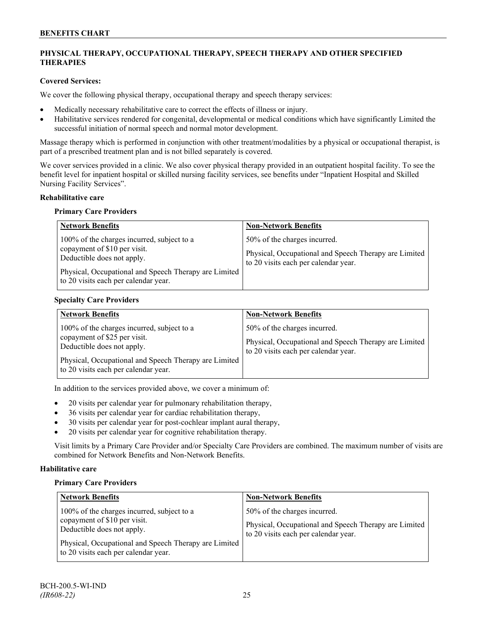## **PHYSICAL THERAPY, OCCUPATIONAL THERAPY, SPEECH THERAPY AND OTHER SPECIFIED THERAPIES**

## **Covered Services:**

We cover the following physical therapy, occupational therapy and speech therapy services:

- Medically necessary rehabilitative care to correct the effects of illness or injury.
- Habilitative services rendered for congenital, developmental or medical conditions which have significantly Limited the successful initiation of normal speech and normal motor development.

Massage therapy which is performed in conjunction with other treatment/modalities by a physical or occupational therapist, is part of a prescribed treatment plan and is not billed separately is covered.

We cover services provided in a clinic. We also cover physical therapy provided in an outpatient hospital facility. To see the benefit level for inpatient hospital or skilled nursing facility services, see benefits under "Inpatient Hospital and Skilled Nursing Facility Services".

## **Rehabilitative care**

#### **Primary Care Providers**

| <b>Network Benefits</b>                                                                                                                                                                                   | <b>Non-Network Benefits</b>                                                                                                   |
|-----------------------------------------------------------------------------------------------------------------------------------------------------------------------------------------------------------|-------------------------------------------------------------------------------------------------------------------------------|
| 100% of the charges incurred, subject to a<br>copayment of \$10 per visit.<br>Deductible does not apply.<br>Physical, Occupational and Speech Therapy are Limited<br>to 20 visits each per calendar year. | 50% of the charges incurred.<br>Physical, Occupational and Speech Therapy are Limited<br>to 20 visits each per calendar year. |

## **Specialty Care Providers**

| <b>Network Benefits</b>                                                                                                                                                                                   | <b>Non-Network Benefits</b>                                                                                                   |
|-----------------------------------------------------------------------------------------------------------------------------------------------------------------------------------------------------------|-------------------------------------------------------------------------------------------------------------------------------|
| 100% of the charges incurred, subject to a<br>copayment of \$25 per visit.<br>Deductible does not apply.<br>Physical, Occupational and Speech Therapy are Limited<br>to 20 visits each per calendar year. | 50% of the charges incurred.<br>Physical, Occupational and Speech Therapy are Limited<br>to 20 visits each per calendar year. |

In addition to the services provided above, we cover a minimum of:

- 20 visits per calendar year for pulmonary rehabilitation therapy,
- 36 visits per calendar year for cardiac rehabilitation therapy,
- 30 visits per calendar year for post-cochlear implant aural therapy,
- 20 visits per calendar year for cognitive rehabilitation therapy.

Visit limits by a Primary Care Provider and/or Specialty Care Providers are combined. The maximum number of visits are combined for Network Benefits and Non-Network Benefits.

## **Habilitative care**

#### **Primary Care Providers**

| <b>Network Benefits</b>                                                                                                                                                                                   | <b>Non-Network Benefits</b>                                                                                                     |
|-----------------------------------------------------------------------------------------------------------------------------------------------------------------------------------------------------------|---------------------------------------------------------------------------------------------------------------------------------|
| 100% of the charges incurred, subject to a<br>copayment of \$10 per visit.<br>Deductible does not apply.<br>Physical, Occupational and Speech Therapy are Limited<br>to 20 visits each per calendar year. | 50% of the charges incurred.<br>Physical, Occupational and Speech Therapy are Limited  <br>to 20 visits each per calendar year. |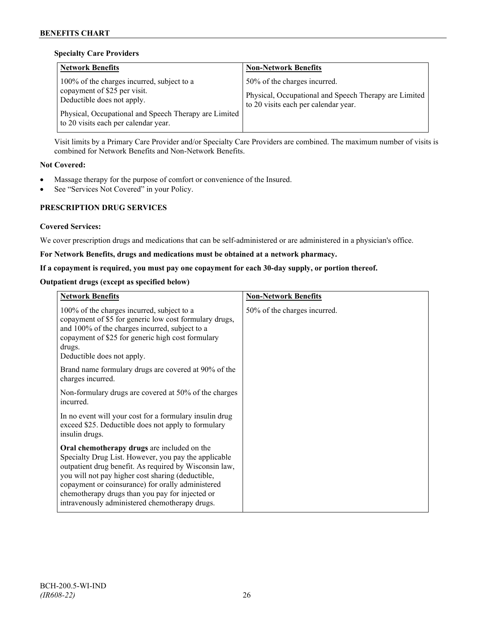## **Specialty Care Providers**

| <b>Network Benefits</b>                                                                                                                                                                                   | <b>Non-Network Benefits</b>                                                                                                   |
|-----------------------------------------------------------------------------------------------------------------------------------------------------------------------------------------------------------|-------------------------------------------------------------------------------------------------------------------------------|
| 100% of the charges incurred, subject to a<br>copayment of \$25 per visit.<br>Deductible does not apply.<br>Physical, Occupational and Speech Therapy are Limited<br>to 20 visits each per calendar year. | 50% of the charges incurred.<br>Physical, Occupational and Speech Therapy are Limited<br>to 20 visits each per calendar year. |

Visit limits by a Primary Care Provider and/or Specialty Care Providers are combined. The maximum number of visits is combined for Network Benefits and Non-Network Benefits.

## **Not Covered:**

- Massage therapy for the purpose of comfort or convenience of the Insured.
- See "Services Not Covered" in your Policy.

## **PRESCRIPTION DRUG SERVICES**

## **Covered Services:**

We cover prescription drugs and medications that can be self-administered or are administered in a physician's office.

## **For Network Benefits, drugs and medications must be obtained at a network pharmacy.**

## **If a copayment is required, you must pay one copayment for each 30-day supply, or portion thereof.**

## **Outpatient drugs (except as specified below)**

| <b>Network Benefits</b>                                                                                                                                                                                                                                                                                                                                                      | <b>Non-Network Benefits</b>  |
|------------------------------------------------------------------------------------------------------------------------------------------------------------------------------------------------------------------------------------------------------------------------------------------------------------------------------------------------------------------------------|------------------------------|
| 100% of the charges incurred, subject to a<br>copayment of \$5 for generic low cost formulary drugs,<br>and 100% of the charges incurred, subject to a<br>copayment of \$25 for generic high cost formulary<br>drugs.<br>Deductible does not apply.                                                                                                                          | 50% of the charges incurred. |
| Brand name formulary drugs are covered at 90% of the<br>charges incurred.                                                                                                                                                                                                                                                                                                    |                              |
| Non-formulary drugs are covered at 50% of the charges<br>incurred.                                                                                                                                                                                                                                                                                                           |                              |
| In no event will your cost for a formulary insulin drug<br>exceed \$25. Deductible does not apply to formulary<br>insulin drugs.                                                                                                                                                                                                                                             |                              |
| Oral chemotherapy drugs are included on the<br>Specialty Drug List. However, you pay the applicable<br>outpatient drug benefit. As required by Wisconsin law,<br>you will not pay higher cost sharing (deductible,<br>copayment or coinsurance) for orally administered<br>chemotherapy drugs than you pay for injected or<br>intravenously administered chemotherapy drugs. |                              |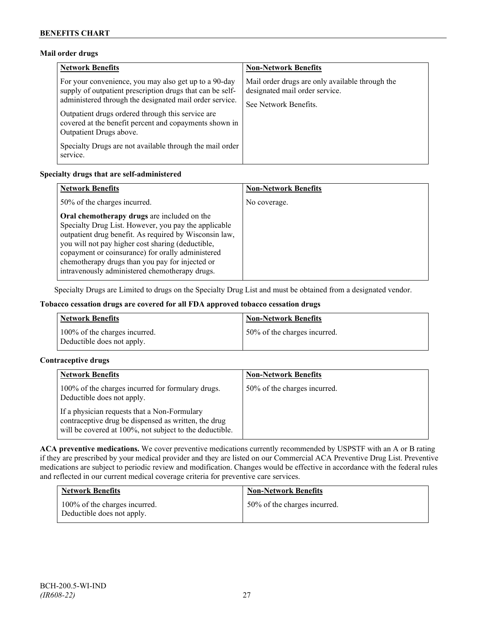## **Mail order drugs**

| <b>Network Benefits</b>                                                                                                                                                                                                                                                                                                 | <b>Non-Network Benefits</b>                                                                                |
|-------------------------------------------------------------------------------------------------------------------------------------------------------------------------------------------------------------------------------------------------------------------------------------------------------------------------|------------------------------------------------------------------------------------------------------------|
| For your convenience, you may also get up to a 90-day<br>supply of outpatient prescription drugs that can be self-<br>administered through the designated mail order service.<br>Outpatient drugs ordered through this service are<br>covered at the benefit percent and copayments shown in<br>Outpatient Drugs above. | Mail order drugs are only available through the<br>designated mail order service.<br>See Network Benefits. |
| Specialty Drugs are not available through the mail order<br>service.                                                                                                                                                                                                                                                    |                                                                                                            |

## **Specialty drugs that are self-administered**

| <b>Network Benefits</b>                                                                                                                                                                                                                                                                                                                                                      | <b>Non-Network Benefits</b> |
|------------------------------------------------------------------------------------------------------------------------------------------------------------------------------------------------------------------------------------------------------------------------------------------------------------------------------------------------------------------------------|-----------------------------|
| 50% of the charges incurred.                                                                                                                                                                                                                                                                                                                                                 | No coverage.                |
| Oral chemotherapy drugs are included on the<br>Specialty Drug List. However, you pay the applicable<br>outpatient drug benefit. As required by Wisconsin law,<br>you will not pay higher cost sharing (deductible,<br>copayment or coinsurance) for orally administered<br>chemotherapy drugs than you pay for injected or<br>intravenously administered chemotherapy drugs. |                             |

Specialty Drugs are Limited to drugs on the Specialty Drug List and must be obtained from a designated vendor.

## **Tobacco cessation drugs are covered for all FDA approved tobacco cessation drugs**

| <b>Network Benefits</b>                                     | <b>Non-Network Benefits</b>  |
|-------------------------------------------------------------|------------------------------|
| 100% of the charges incurred.<br>Deductible does not apply. | 50% of the charges incurred. |

## **Contraceptive drugs**

| <b>Network Benefits</b>                                                                                                                                         | <b>Non-Network Benefits</b>  |
|-----------------------------------------------------------------------------------------------------------------------------------------------------------------|------------------------------|
| 100% of the charges incurred for formulary drugs.<br>Deductible does not apply.                                                                                 | 50% of the charges incurred. |
| If a physician requests that a Non-Formulary<br>contraceptive drug be dispensed as written, the drug<br>will be covered at 100%, not subject to the deductible. |                              |

**ACA preventive medications.** We cover preventive medications currently recommended by USPSTF with an A or B rating if they are prescribed by your medical provider and they are listed on our Commercial ACA Preventive Drug List. Preventive medications are subject to periodic review and modification. Changes would be effective in accordance with the federal rules and reflected in our current medical coverage criteria for preventive care services.

| <b>Network Benefits</b>                                     | <b>Non-Network Benefits</b>  |
|-------------------------------------------------------------|------------------------------|
| 100% of the charges incurred.<br>Deductible does not apply. | 50% of the charges incurred. |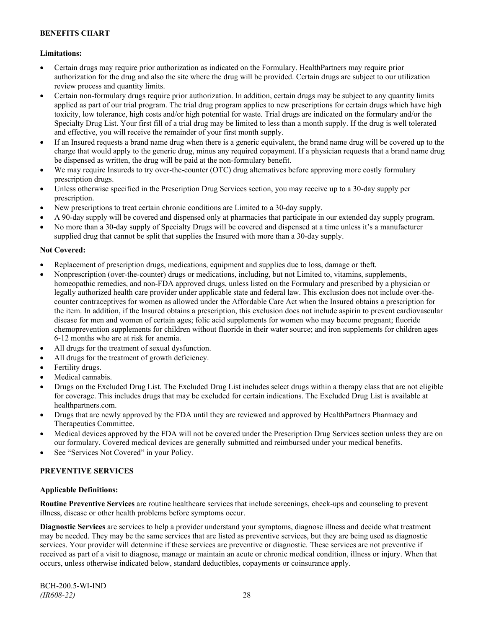## **Limitations:**

- Certain drugs may require prior authorization as indicated on the Formulary. HealthPartners may require prior authorization for the drug and also the site where the drug will be provided. Certain drugs are subject to our utilization review process and quantity limits.
- Certain non-formulary drugs require prior authorization. In addition, certain drugs may be subject to any quantity limits applied as part of our trial program. The trial drug program applies to new prescriptions for certain drugs which have high toxicity, low tolerance, high costs and/or high potential for waste. Trial drugs are indicated on the formulary and/or the Specialty Drug List. Your first fill of a trial drug may be limited to less than a month supply. If the drug is well tolerated and effective, you will receive the remainder of your first month supply.
- If an Insured requests a brand name drug when there is a generic equivalent, the brand name drug will be covered up to the charge that would apply to the generic drug, minus any required copayment. If a physician requests that a brand name drug be dispensed as written, the drug will be paid at the non-formulary benefit.
- We may require Insureds to try over-the-counter (OTC) drug alternatives before approving more costly formulary prescription drugs.
- Unless otherwise specified in the Prescription Drug Services section, you may receive up to a 30-day supply per prescription.
- New prescriptions to treat certain chronic conditions are Limited to a 30-day supply.
- A 90-day supply will be covered and dispensed only at pharmacies that participate in our extended day supply program.
- No more than a 30-day supply of Specialty Drugs will be covered and dispensed at a time unless it's a manufacturer supplied drug that cannot be split that supplies the Insured with more than a 30-day supply.

## **Not Covered:**

- Replacement of prescription drugs, medications, equipment and supplies due to loss, damage or theft.
- Nonprescription (over-the-counter) drugs or medications, including, but not Limited to, vitamins, supplements, homeopathic remedies, and non-FDA approved drugs, unless listed on the Formulary and prescribed by a physician or legally authorized health care provider under applicable state and federal law. This exclusion does not include over-thecounter contraceptives for women as allowed under the Affordable Care Act when the Insured obtains a prescription for the item. In addition, if the Insured obtains a prescription, this exclusion does not include aspirin to prevent cardiovascular disease for men and women of certain ages; folic acid supplements for women who may become pregnant; fluoride chemoprevention supplements for children without fluoride in their water source; and iron supplements for children ages 6-12 months who are at risk for anemia.
- All drugs for the treatment of sexual dysfunction.
- All drugs for the treatment of growth deficiency.
- Fertility drugs.
- Medical cannabis.
- Drugs on the Excluded Drug List. The Excluded Drug List includes select drugs within a therapy class that are not eligible for coverage. This includes drugs that may be excluded for certain indications. The Excluded Drug List is available at [healthpartners.com.](http://www.healthpartners.com/)
- Drugs that are newly approved by the FDA until they are reviewed and approved by HealthPartners Pharmacy and Therapeutics Committee.
- Medical devices approved by the FDA will not be covered under the Prescription Drug Services section unless they are on our formulary. Covered medical devices are generally submitted and reimbursed under your medical benefits.
- See "Services Not Covered" in your Policy.

## **PREVENTIVE SERVICES**

## **Applicable Definitions:**

**Routine Preventive Services** are routine healthcare services that include screenings, check-ups and counseling to prevent illness, disease or other health problems before symptoms occur.

**Diagnostic Services** are services to help a provider understand your symptoms, diagnose illness and decide what treatment may be needed. They may be the same services that are listed as preventive services, but they are being used as diagnostic services. Your provider will determine if these services are preventive or diagnostic. These services are not preventive if received as part of a visit to diagnose, manage or maintain an acute or chronic medical condition, illness or injury. When that occurs, unless otherwise indicated below, standard deductibles, copayments or coinsurance apply.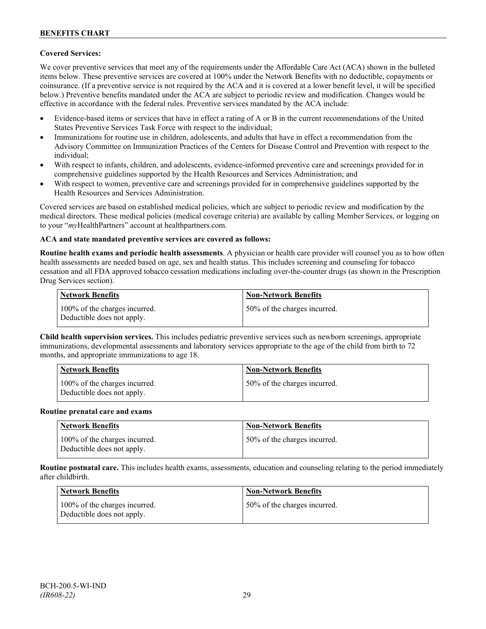## **Covered Services:**

We cover preventive services that meet any of the requirements under the Affordable Care Act (ACA) shown in the bulleted items below. These preventive services are covered at 100% under the Network Benefits with no deductible, copayments or coinsurance. (If a preventive service is not required by the ACA and it is covered at a lower benefit level, it will be specified below.) Preventive benefits mandated under the ACA are subject to periodic review and modification. Changes would be effective in accordance with the federal rules. Preventive services mandated by the ACA include:

- Evidence-based items or services that have in effect a rating of A or B in the current recommendations of the United States Preventive Services Task Force with respect to the individual;
- Immunizations for routine use in children, adolescents, and adults that have in effect a recommendation from the Advisory Committee on Immunization Practices of the Centers for Disease Control and Prevention with respect to the individual;
- With respect to infants, children, and adolescents, evidence-informed preventive care and screenings provided for in comprehensive guidelines supported by the Health Resources and Services Administration; and
- With respect to women, preventive care and screenings provided for in comprehensive guidelines supported by the Health Resources and Services Administration.

Covered services are based on established medical policies, which are subject to periodic review and modification by the medical directors. These medical policies (medical coverage criteria) are available by calling Member Services, or logging on to your "*my*HealthPartners" account at [healthpartners.com.](http://www.healthpartners.com/)

## **ACA and state mandated preventive services are covered as follows:**

**Routine health exams and periodic health assessments**. A physician or health care provider will counsel you as to how often health assessments are needed based on age, sex and health status. This includes screening and counseling for tobacco cessation and all FDA approved tobacco cessation medications including over-the-counter drugs (as shown in the Prescription Drug Services section).

| <b>Network Benefits</b>                                     | <b>Non-Network Benefits</b>  |
|-------------------------------------------------------------|------------------------------|
| 100% of the charges incurred.<br>Deductible does not apply. | 50% of the charges incurred. |

**Child health supervision services.** This includes pediatric preventive services such as newborn screenings, appropriate immunizations, developmental assessments and laboratory services appropriate to the age of the child from birth to 72 months, and appropriate immunizations to age 18.

| <b>Network Benefits</b>                                     | <b>Non-Network Benefits</b>  |
|-------------------------------------------------------------|------------------------------|
| 100% of the charges incurred.<br>Deductible does not apply. | 50% of the charges incurred. |

#### **Routine prenatal care and exams**

| Network Benefits                                            | <b>Non-Network Benefits</b>  |
|-------------------------------------------------------------|------------------------------|
| 100% of the charges incurred.<br>Deductible does not apply. | 50% of the charges incurred. |

**Routine postnatal care.** This includes health exams, assessments, education and counseling relating to the period immediately after childbirth.

| <b>Network Benefits</b>                                     | <b>Non-Network Benefits</b>  |
|-------------------------------------------------------------|------------------------------|
| 100% of the charges incurred.<br>Deductible does not apply. | 50% of the charges incurred. |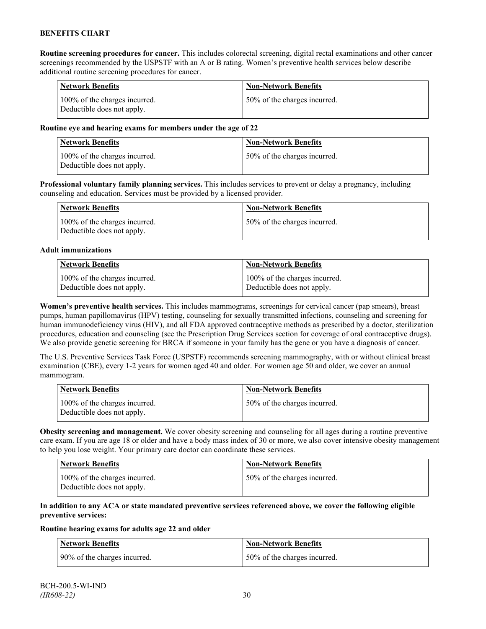**Routine screening procedures for cancer.** This includes colorectal screening, digital rectal examinations and other cancer screenings recommended by the USPSTF with an A or B rating. Women's preventive health services below describe additional routine screening procedures for cancer.

| <b>Network Benefits</b>                                     | <b>Non-Network Benefits</b>  |
|-------------------------------------------------------------|------------------------------|
| 100% of the charges incurred.<br>Deductible does not apply. | 50% of the charges incurred. |

#### **Routine eye and hearing exams for members under the age of 22**

| Network Benefits                                            | <b>Non-Network Benefits</b>  |
|-------------------------------------------------------------|------------------------------|
| 100% of the charges incurred.<br>Deductible does not apply. | 50% of the charges incurred. |

**Professional voluntary family planning services.** This includes services to prevent or delay a pregnancy, including counseling and education. Services must be provided by a licensed provider.

| Network Benefits                                            | <b>Non-Network Benefits</b>  |
|-------------------------------------------------------------|------------------------------|
| 100% of the charges incurred.<br>Deductible does not apply. | 50% of the charges incurred. |

#### **Adult immunizations**

| <b>Network Benefits</b>       | <b>Non-Network Benefits</b>   |
|-------------------------------|-------------------------------|
| 100% of the charges incurred. | 100% of the charges incurred. |
| Deductible does not apply.    | Deductible does not apply.    |

**Women's preventive health services.** This includes mammograms, screenings for cervical cancer (pap smears), breast pumps, human papillomavirus (HPV) testing, counseling for sexually transmitted infections, counseling and screening for human immunodeficiency virus (HIV), and all FDA approved contraceptive methods as prescribed by a doctor, sterilization procedures, education and counseling (see the Prescription Drug Services section for coverage of oral contraceptive drugs). We also provide genetic screening for BRCA if someone in your family has the gene or you have a diagnosis of cancer.

The U.S. Preventive Services Task Force (USPSTF) recommends screening mammography, with or without clinical breast examination (CBE), every 1-2 years for women aged 40 and older. For women age 50 and older, we cover an annual mammogram.

| Network Benefits                                            | <b>Non-Network Benefits</b>  |
|-------------------------------------------------------------|------------------------------|
| 100% of the charges incurred.<br>Deductible does not apply. | 50% of the charges incurred. |

**Obesity screening and management.** We cover obesity screening and counseling for all ages during a routine preventive care exam. If you are age 18 or older and have a body mass index of 30 or more, we also cover intensive obesity management to help you lose weight. Your primary care doctor can coordinate these services.

| <b>Network Benefits</b>                                     | <b>Non-Network Benefits</b>  |
|-------------------------------------------------------------|------------------------------|
| 100% of the charges incurred.<br>Deductible does not apply. | 50% of the charges incurred. |

#### **In addition to any ACA or state mandated preventive services referenced above, we cover the following eligible preventive services:**

#### **Routine hearing exams for adults age 22 and older**

| <b>Network Benefits</b>      | <b>Non-Network Benefits</b>  |
|------------------------------|------------------------------|
| 90% of the charges incurred. | 50% of the charges incurred. |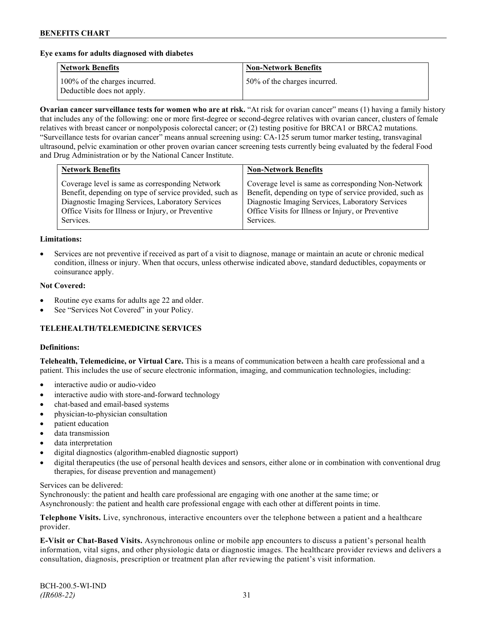#### **Eye exams for adults diagnosed with diabetes**

| <b>Network Benefits</b>                                     | <b>Non-Network Benefits</b>  |
|-------------------------------------------------------------|------------------------------|
| 100% of the charges incurred.<br>Deductible does not apply. | 50% of the charges incurred. |

**Ovarian cancer surveillance tests for women who are at risk.** "At risk for ovarian cancer" means (1) having a family history that includes any of the following: one or more first-degree or second-degree relatives with ovarian cancer, clusters of female relatives with breast cancer or nonpolyposis colorectal cancer; or (2) testing positive for BRCA1 or BRCA2 mutations. "Surveillance tests for ovarian cancer" means annual screening using: CA-125 serum tumor marker testing, transvaginal ultrasound, pelvic examination or other proven ovarian cancer screening tests currently being evaluated by the federal Food and Drug Administration or by the National Cancer Institute.

| Coverage level is same as corresponding Network<br>Benefit, depending on type of service provided, such as<br>Diagnostic Imaging Services, Laboratory Services<br>Diagnostic Imaging Services, Laboratory Services<br>Office Visits for Illness or Injury, or Preventive<br>Office Visits for Illness or Injury, or Preventive | <b>Network Benefits</b> | <b>Non-Network Benefits</b>                                                                                                 |
|--------------------------------------------------------------------------------------------------------------------------------------------------------------------------------------------------------------------------------------------------------------------------------------------------------------------------------|-------------------------|-----------------------------------------------------------------------------------------------------------------------------|
|                                                                                                                                                                                                                                                                                                                                | Services.               | Coverage level is same as corresponding Non-Network<br>Benefit, depending on type of service provided, such as<br>Services. |

#### **Limitations:**

• Services are not preventive if received as part of a visit to diagnose, manage or maintain an acute or chronic medical condition, illness or injury. When that occurs, unless otherwise indicated above, standard deductibles, copayments or coinsurance apply.

#### **Not Covered:**

- Routine eye exams for adults age 22 and older.
- See "Services Not Covered" in your Policy.

## **TELEHEALTH/TELEMEDICINE SERVICES**

#### **Definitions:**

**Telehealth, Telemedicine, or Virtual Care.** This is a means of communication between a health care professional and a patient. This includes the use of secure electronic information, imaging, and communication technologies, including:

- interactive audio or audio-video
- interactive audio with store-and-forward technology
- chat-based and email-based systems
- physician-to-physician consultation
- patient education
- data transmission
- data interpretation
- digital diagnostics (algorithm-enabled diagnostic support)
- digital therapeutics (the use of personal health devices and sensors, either alone or in combination with conventional drug therapies, for disease prevention and management)

#### Services can be delivered:

Synchronously: the patient and health care professional are engaging with one another at the same time; or Asynchronously: the patient and health care professional engage with each other at different points in time.

**Telephone Visits.** Live, synchronous, interactive encounters over the telephone between a patient and a healthcare provider.

**E-Visit or Chat-Based Visits.** Asynchronous online or mobile app encounters to discuss a patient's personal health information, vital signs, and other physiologic data or diagnostic images. The healthcare provider reviews and delivers a consultation, diagnosis, prescription or treatment plan after reviewing the patient's visit information.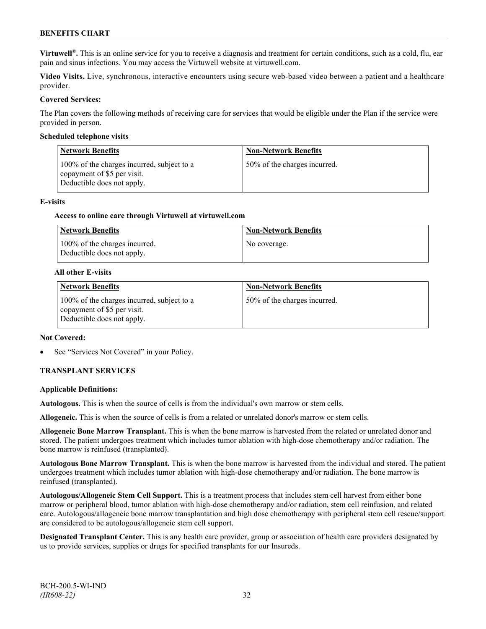**Virtuwell<sup>®</sup>**. This is an online service for you to receive a diagnosis and treatment for certain conditions, such as a cold, flu, ear pain and sinus infections. You may access the Virtuwell website at [virtuwell.com.](https://www.virtuwell.com/)

**Video Visits.** Live, synchronous, interactive encounters using secure web-based video between a patient and a healthcare provider.

#### **Covered Services:**

The Plan covers the following methods of receiving care for services that would be eligible under the Plan if the service were provided in person.

#### **Scheduled telephone visits**

| <b>Network Benefits</b>                                                                                 | <b>Non-Network Benefits</b>  |
|---------------------------------------------------------------------------------------------------------|------------------------------|
| 100% of the charges incurred, subject to a<br>copayment of \$5 per visit.<br>Deductible does not apply. | 50% of the charges incurred. |

#### **E-visits**

#### **Access to online care through Virtuwell at [virtuwell.com](http://www.virtuwell.com/)**

| Network Benefits                                            | <b>Non-Network Benefits</b> |
|-------------------------------------------------------------|-----------------------------|
| 100% of the charges incurred.<br>Deductible does not apply. | No coverage.                |

#### **All other E-visits**

| <b>Network Benefits</b>                                                                                 | <b>Non-Network Benefits</b>  |
|---------------------------------------------------------------------------------------------------------|------------------------------|
| 100% of the charges incurred, subject to a<br>copayment of \$5 per visit.<br>Deductible does not apply. | 50% of the charges incurred. |

#### **Not Covered:**

See "Services Not Covered" in your Policy.

## **TRANSPLANT SERVICES**

#### **Applicable Definitions:**

**Autologous.** This is when the source of cells is from the individual's own marrow or stem cells.

**Allogeneic.** This is when the source of cells is from a related or unrelated donor's marrow or stem cells.

**Allogeneic Bone Marrow Transplant.** This is when the bone marrow is harvested from the related or unrelated donor and stored. The patient undergoes treatment which includes tumor ablation with high-dose chemotherapy and/or radiation. The bone marrow is reinfused (transplanted).

**Autologous Bone Marrow Transplant.** This is when the bone marrow is harvested from the individual and stored. The patient undergoes treatment which includes tumor ablation with high-dose chemotherapy and/or radiation. The bone marrow is reinfused (transplanted).

**Autologous/Allogeneic Stem Cell Support.** This is a treatment process that includes stem cell harvest from either bone marrow or peripheral blood, tumor ablation with high-dose chemotherapy and/or radiation, stem cell reinfusion, and related care. Autologous/allogeneic bone marrow transplantation and high dose chemotherapy with peripheral stem cell rescue/support are considered to be autologous/allogeneic stem cell support.

**Designated Transplant Center.** This is any health care provider, group or association of health care providers designated by us to provide services, supplies or drugs for specified transplants for our Insureds.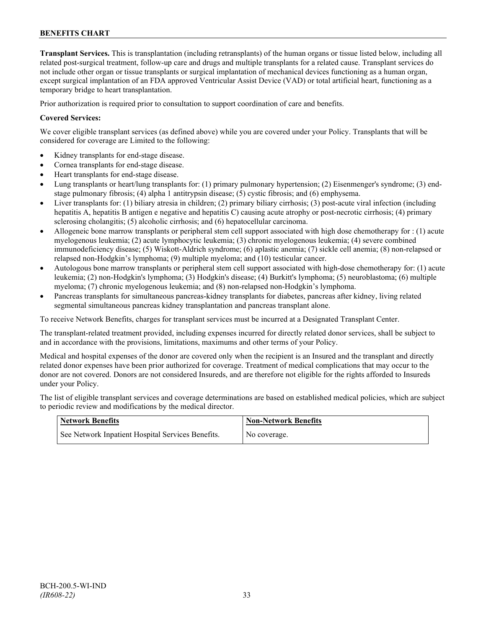**Transplant Services.** This is transplantation (including retransplants) of the human organs or tissue listed below, including all related post-surgical treatment, follow-up care and drugs and multiple transplants for a related cause. Transplant services do not include other organ or tissue transplants or surgical implantation of mechanical devices functioning as a human organ, except surgical implantation of an FDA approved Ventricular Assist Device (VAD) or total artificial heart, functioning as a temporary bridge to heart transplantation.

Prior authorization is required prior to consultation to support coordination of care and benefits.

#### **Covered Services:**

We cover eligible transplant services (as defined above) while you are covered under your Policy. Transplants that will be considered for coverage are Limited to the following:

- Kidney transplants for end-stage disease.
- Cornea transplants for end-stage disease.
- Heart transplants for end-stage disease.
- Lung transplants or heart/lung transplants for: (1) primary pulmonary hypertension; (2) Eisenmenger's syndrome; (3) endstage pulmonary fibrosis; (4) alpha 1 antitrypsin disease; (5) cystic fibrosis; and (6) emphysema.
- Liver transplants for: (1) biliary atresia in children; (2) primary biliary cirrhosis; (3) post-acute viral infection (including hepatitis A, hepatitis B antigen e negative and hepatitis C) causing acute atrophy or post-necrotic cirrhosis; (4) primary sclerosing cholangitis; (5) alcoholic cirrhosis; and (6) hepatocellular carcinoma.
- Allogeneic bone marrow transplants or peripheral stem cell support associated with high dose chemotherapy for : (1) acute myelogenous leukemia; (2) acute lymphocytic leukemia; (3) chronic myelogenous leukemia; (4) severe combined immunodeficiency disease; (5) Wiskott-Aldrich syndrome; (6) aplastic anemia; (7) sickle cell anemia; (8) non-relapsed or relapsed non-Hodgkin's lymphoma; (9) multiple myeloma; and (10) testicular cancer.
- Autologous bone marrow transplants or peripheral stem cell support associated with high-dose chemotherapy for: (1) acute leukemia; (2) non-Hodgkin's lymphoma; (3) Hodgkin's disease; (4) Burkitt's lymphoma; (5) neuroblastoma; (6) multiple myeloma; (7) chronic myelogenous leukemia; and (8) non-relapsed non-Hodgkin's lymphoma.
- Pancreas transplants for simultaneous pancreas-kidney transplants for diabetes, pancreas after kidney, living related segmental simultaneous pancreas kidney transplantation and pancreas transplant alone.

To receive Network Benefits, charges for transplant services must be incurred at a Designated Transplant Center.

The transplant-related treatment provided, including expenses incurred for directly related donor services, shall be subject to and in accordance with the provisions, limitations, maximums and other terms of your Policy.

Medical and hospital expenses of the donor are covered only when the recipient is an Insured and the transplant and directly related donor expenses have been prior authorized for coverage. Treatment of medical complications that may occur to the donor are not covered. Donors are not considered Insureds, and are therefore not eligible for the rights afforded to Insureds under your Policy.

The list of eligible transplant services and coverage determinations are based on established medical policies, which are subject to periodic review and modifications by the medical director.

| <b>Network Benefits</b>                           | Mon-Network Benefits |
|---------------------------------------------------|----------------------|
| See Network Inpatient Hospital Services Benefits. | No coverage.         |